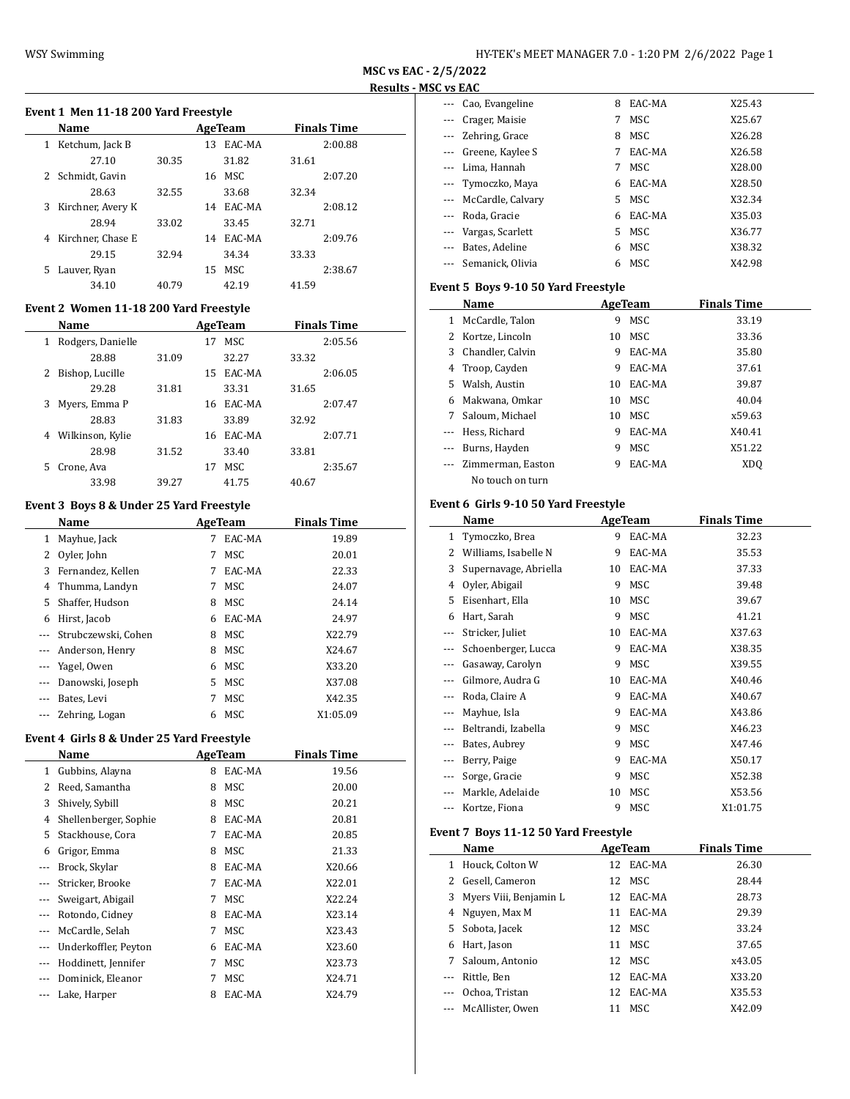$\overline{\phantom{a}}$ 

#### **Event 1 Men 11-18 200 Yard Freestyle**

|    | <b>Name</b>       |       |    | AgeTeam   |       | <b>Finals Time</b> |  |
|----|-------------------|-------|----|-----------|-------|--------------------|--|
|    | 1 Ketchum, Jack B |       | 13 | EAC-MA    |       | 2:00.88            |  |
|    | 27.10             | 30.35 |    | 31.82     | 31.61 |                    |  |
|    | 2 Schmidt, Gavin  |       | 16 | MSC.      |       | 2:07.20            |  |
|    | 28.63             | 32.55 |    | 33.68     | 32.34 |                    |  |
| 3  | Kirchner, Avery K |       |    | 14 EAC-MA |       | 2:08.12            |  |
|    | 28.94             | 33.02 |    | 33.45     | 32.71 |                    |  |
| 4  | Kirchner, Chase E |       |    | 14 EAC-MA |       | 2:09.76            |  |
|    | 29.15             | 32.94 |    | 34.34     | 33.33 |                    |  |
| 5. | Lauver, Ryan      |       | 15 | MSC.      |       | 2:38.67            |  |
|    | 34.10             | 40.79 |    | 42.19     | 41.59 |                    |  |

# **Event 2 Women 11-18 200 Yard Freestyle**

|    | Name              |       |    | AgeTeam |       | <b>Finals Time</b> |  |
|----|-------------------|-------|----|---------|-------|--------------------|--|
| 1  | Rodgers, Danielle |       | 17 | MSC     |       | 2:05.56            |  |
|    | 28.88             | 31.09 |    | 32.27   | 33.32 |                    |  |
|    | Bishop, Lucille   |       | 15 | EAC-MA  |       | 2:06.05            |  |
|    | 29.28             | 31.81 |    | 33.31   | 31.65 |                    |  |
| 3. | Myers, Emma P     |       | 16 | EAC-MA  |       | 2:07.47            |  |
|    | 28.83             | 31.83 |    | 33.89   | 32.92 |                    |  |
| 4  | Wilkinson, Kylie  |       | 16 | EAC-MA  |       | 2:07.71            |  |
|    | 28.98             | 31.52 |    | 33.40   | 33.81 |                    |  |
| 5. | Crone, Ava        |       | 17 | MSC     |       | 2:35.67            |  |
|    | 33.98             | 39.27 |    | 41.75   | 40.67 |                    |  |

# **Event 3 Boys 8 & Under 25 Yard Freestyle**

|          | Name                | AgeTeam |        | <b>Finals Time</b> |  |
|----------|---------------------|---------|--------|--------------------|--|
| 1        | Mayhue, Jack        | 7       | EAC-MA | 19.89              |  |
|          | Oyler, John         | 7       | MSC    | 20.01              |  |
| 3        | Fernandez, Kellen   | 7       | EAC-MA | 22.33              |  |
| 4        | Thumma, Landyn      | 7       | MSC    | 24.07              |  |
| 5.       | Shaffer, Hudson     | 8       | MSC    | 24.14              |  |
| 6        | Hirst, Jacob        | 6       | EAC-MA | 24.97              |  |
|          | Strubczewski, Cohen | 8       | MSC    | X22.79             |  |
|          | Anderson, Henry     | 8       | MSC    | X24.67             |  |
|          | Yagel, Owen         | 6       | MSC    | X33.20             |  |
|          | Danowski, Joseph    | 5.      | MSC    | X37.08             |  |
|          | Bates, Levi         | 7       | MSC    | X42.35             |  |
| $\cdots$ | Zehring, Logan      | 6       | MSC    | X1:05.09           |  |

# **Event 4 Girls 8 & Under 25 Yard Freestyle**

|    | Name                  |   | AgeTeam | <b>Finals Time</b> |
|----|-----------------------|---|---------|--------------------|
| 1  | Gubbins, Alayna       | 8 | EAC-MA  | 19.56              |
| 2  | Reed, Samantha        | 8 | MSC     | 20.00              |
| 3  | Shively, Sybill       | 8 | MSC     | 20.21              |
| 4  | Shellenberger, Sophie | 8 | EAC-MA  | 20.81              |
| 5. | Stackhouse, Cora      | 7 | EAC-MA  | 20.85              |
| 6  | Grigor, Emma          | 8 | MSC     | 21.33              |
|    | Brock, Skylar         | 8 | EAC-MA  | X20.66             |
|    | Stricker, Brooke      | 7 | EAC-MA  | X22.01             |
|    | Sweigart, Abigail     | 7 | MSC     | X22.24             |
|    | Rotondo, Cidney       | 8 | EAC-MA  | X23.14             |
|    | McCardle, Selah       | 7 | MSC     | X23.43             |
|    | Underkoffler, Peyton  | 6 | EAC-MA  | X23.60             |
|    | Hoddinett, Jennifer   | 7 | MSC     | X23.73             |
|    | Dominick, Eleanor     | 7 | MSC     | X24.71             |
|    | Lake, Harper          | 8 | EAC-MA  | X24.79             |

| --- Cao, Evangeline        | 8  | EAC-MA     | X25.43 |
|----------------------------|----|------------|--------|
| Crager, Maisie<br>$\cdots$ | 7  | <b>MSC</b> | X25.67 |
| --- Zehring, Grace         | 8  | MSC        | X26.28 |
| --- Greene, Kaylee S       | 7  | EAC-MA     | X26.58 |
| Lima, Hannah<br>$---$      | 7  | MSC.       | X28.00 |
| --- Tymoczko, Maya         | 6  | EAC-MA     | X28.50 |
| --- McCardle, Calvary      | 5. | MSC.       | X32.34 |
| --- Roda, Gracie           | 6  | EAC-MA     | X35.03 |
| --- Vargas, Scarlett       | 5. | MSC        | X36.77 |
| Bates, Adeline             | 6  | MSC        | X38.32 |
| --- Semanick, Olivia       | 6  | MSC        | X42.98 |

# **Event 5 Boys 9-10 50 Yard Freestyle**

|          | Name              | AgeTeam |        | <b>Finals Time</b> |
|----------|-------------------|---------|--------|--------------------|
| 1        | McCardle, Talon   | 9       | MSC    | 33.19              |
|          | 2 Kortze, Lincoln | 10      | MSC.   | 33.36              |
| 3        | Chandler, Calvin  | 9       | EAC-MA | 35.80              |
| 4        | Troop, Cayden     | 9       | EAC-MA | 37.61              |
|          | 5 Walsh, Austin   | 10      | EAC-MA | 39.87              |
| 6        | Makwana, Omkar    | 10      | MSC.   | 40.04              |
| 7        | Saloum. Michael   | 10      | MSC.   | x59.63             |
|          | Hess. Richard     | 9       | EAC-MA | X40.41             |
| $\cdots$ | Burns, Hayden     | 9       | MSC.   | X51.22             |
|          | Zimmerman, Easton | 9       | EAC-MA | XDO                |
|          | No touch on turn  |         |        |                    |

# **Event 6 Girls 9-10 50 Yard Freestyle**

|              | Name                  |    | AgeTeam | <b>Finals Time</b> |  |
|--------------|-----------------------|----|---------|--------------------|--|
| $\mathbf{1}$ | Tymoczko, Brea        | 9  | EAC-MA  | 32.23              |  |
| 2            | Williams, Isabelle N  | 9  | EAC-MA  | 35.53              |  |
| 3            | Supernavage, Abriella | 10 | EAC-MA  | 37.33              |  |
| 4            | Oyler, Abigail        | 9  | MSC     | 39.48              |  |
| 5            | Eisenhart, Ella       | 10 | MSC     | 39.67              |  |
| 6            | Hart, Sarah           | 9  | MSC     | 41.21              |  |
| ---          | Stricker, Juliet      | 10 | EAC-MA  | X37.63             |  |
|              | Schoenberger, Lucca   | 9  | EAC-MA  | X38.35             |  |
|              | Gasaway, Carolyn      | 9  | MSC     | X39.55             |  |
|              | Gilmore, Audra G      | 10 | EAC-MA  | X40.46             |  |
|              | Roda, Claire A        | 9  | EAC-MA  | X40.67             |  |
| ---          | Mayhue, Isla          | 9  | EAC-MA  | X43.86             |  |
| ---          | Beltrandi, Izabella   | 9  | MSC     | X46.23             |  |
| $- - -$      | Bates, Aubrey         | 9  | MSC     | X47.46             |  |
| $---$        | Berry, Paige          | 9  | EAC-MA  | X50.17             |  |
| $\cdots$     | Sorge, Gracie         | 9  | MSC     | X52.38             |  |
| ---          | Markle, Adelaide      | 10 | MSC     | X53.56             |  |
| ---          | Kortze, Fiona         | 9  | MSC     | X1:01.75           |  |

# **Event 7 Boys 11-12 50 Yard Freestyle**

|          | Name                   | AgeTeam |        | <b>Finals Time</b> |  |
|----------|------------------------|---------|--------|--------------------|--|
| 1        | Houck, Colton W        | 12      | EAC-MA | 26.30              |  |
|          | 2 Gesell, Cameron      |         | 12 MSC | 28.44              |  |
| 3        | Myers Viii, Benjamin L | 12      | EAC-MA | 28.73              |  |
|          | 4 Nguyen, Max M        | 11      | EAC-MA | 29.39              |  |
|          | 5 Sobota, Jacek        |         | 12 MSC | 33.24              |  |
| 6        | Hart, Jason            | 11      | MSC    | 37.65              |  |
| 7        | Saloum, Antonio        |         | 12 MSC | x43.05             |  |
| $\cdots$ | Rittle, Ben            | 12      | EAC-MA | X33.20             |  |
| $\cdots$ | Ochoa, Tristan         | 12      | EAC-MA | X35.53             |  |
|          | McAllister. Owen       | 11      | MSC.   | X42.09             |  |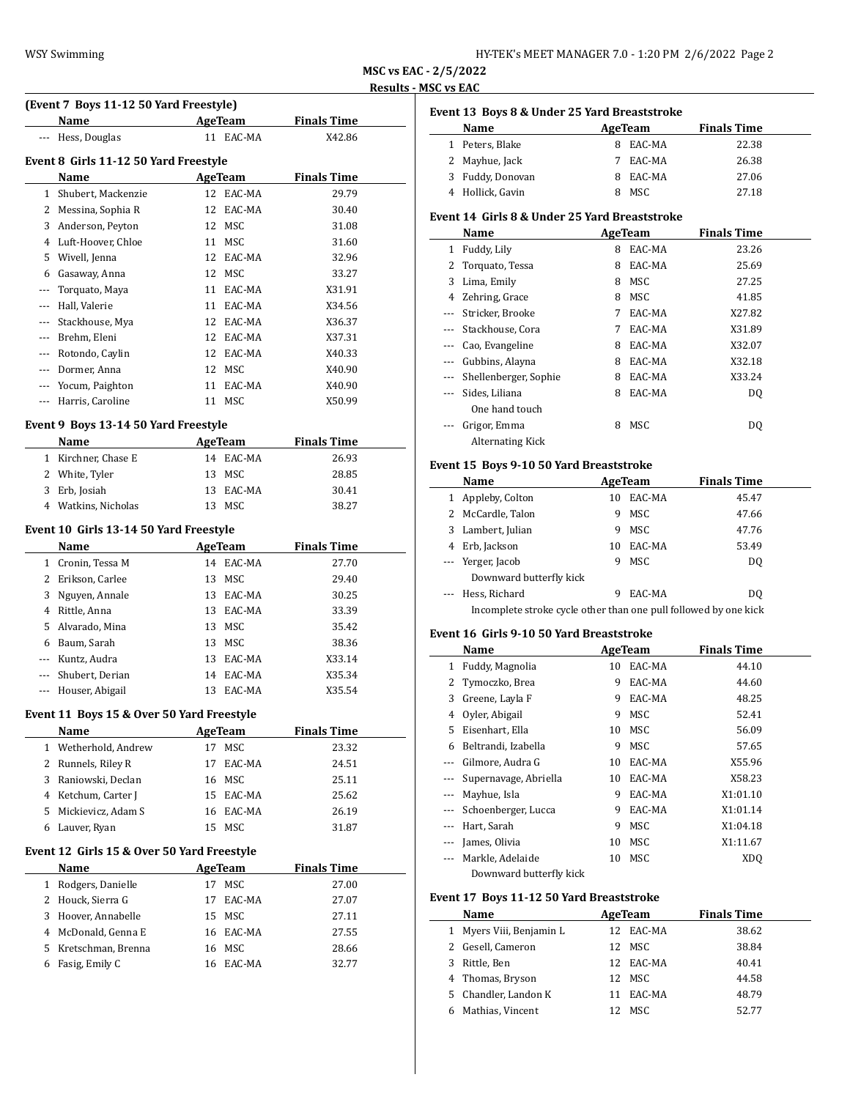| HY-TEK's MEET MANAGER 7.0 - 1:20 PM 2/6/2022 Page 2 |  |  |  |
|-----------------------------------------------------|--|--|--|
|-----------------------------------------------------|--|--|--|

# **(Event 7 Boys 11-12 50 Yard Freestyle)**

|              | (Event 7 Boys 11-12 50 Yard Freestyle) |    |            |                    |  |  |  |  |
|--------------|----------------------------------------|----|------------|--------------------|--|--|--|--|
|              | Name                                   |    | AgeTeam    | <b>Finals Time</b> |  |  |  |  |
|              | Hess, Douglas                          |    | 11 EAC-MA  | X42.86             |  |  |  |  |
|              | Event 8 Girls 11-12 50 Yard Freestyle  |    |            |                    |  |  |  |  |
|              | Name                                   |    | AgeTeam    | <b>Finals Time</b> |  |  |  |  |
| $\mathbf{1}$ | Shubert, Mackenzie                     | 12 | EAC-MA     | 29.79              |  |  |  |  |
| 2            | Messina, Sophia R                      | 12 | EAC-MA     | 30.40              |  |  |  |  |
| 3            | Anderson, Peyton                       | 12 | MSC        | 31.08              |  |  |  |  |
| 4            | Luft-Hoover, Chloe                     | 11 | <b>MSC</b> | 31.60              |  |  |  |  |
| 5            | Wivell, Jenna                          | 12 | EAC-MA     | 32.96              |  |  |  |  |
| 6            | Gasaway, Anna                          | 12 | MSC        | 33.27              |  |  |  |  |
|              | Torquato, Maya                         | 11 | EAC-MA     | X31.91             |  |  |  |  |
|              | Hall, Valerie                          | 11 | EAC-MA     | X34.56             |  |  |  |  |
| $---$        | Stackhouse, Mya                        | 12 | EAC-MA     | X36.37             |  |  |  |  |
| $---$        | Brehm, Eleni                           | 12 | EAC-MA     | X37.31             |  |  |  |  |
| $---$        | Rotondo, Cavlin                        | 12 | EAC-MA     | X40.33             |  |  |  |  |
|              | Dormer, Anna                           | 12 | MSC        | X40.90             |  |  |  |  |
|              | Yocum, Paighton                        | 11 | EAC-MA     | X40.90             |  |  |  |  |
|              | Harris, Caroline                       | 11 | MSC        | X50.99             |  |  |  |  |

## **Event 9 Boys 13-14 50 Yard Freestyle**

| <b>Name</b>         | AgeTeam   | <b>Finals Time</b> |
|---------------------|-----------|--------------------|
| 1 Kirchner, Chase E | 14 EAC-MA | 26.93              |
| 2 White, Tyler      | 13 MSC    | 28.85              |
| 3 Erb, Josiah       | 13 EAC-MA | 30.41              |
| 4 Watkins, Nicholas | 13 MSC    | 38.27              |

#### **Event 10 Girls 13-14 50 Yard Freestyle**

|              | Name                | AgeTeam |           | <b>Finals Time</b> |
|--------------|---------------------|---------|-----------|--------------------|
| $\mathbf{1}$ | Cronin, Tessa M     | 14      | EAC-MA    | 27.70              |
| 2            | Erikson, Carlee     |         | 13 MSC    | 29.40              |
|              | 3 Nguyen, Annale    | 13      | EAC-MA    | 30.25              |
| 4            | Rittle, Anna        |         | 13 EAC-MA | 33.39              |
|              | 5 Alvarado, Mina    |         | 13 MSC    | 35.42              |
| 6            | Baum, Sarah         |         | 13 MSC    | 38.36              |
| $\cdots$     | Kuntz, Audra        | 13      | EAC-MA    | X33.14             |
|              | Shubert, Derian     | 14      | EAC-MA    | X35.34             |
|              | --- Houser, Abigail | 13      | EAC-MA    | X35.54             |

# **Event 11 Boys 15 & Over 50 Yard Freestyle**

|   | Name                 |     | AgeTeam   | <b>Finals Time</b> |
|---|----------------------|-----|-----------|--------------------|
|   | 1 Wetherhold, Andrew | 17  | MSC.      | 23.32              |
|   | 2 Runnels, Riley R   |     | 17 EAC-MA | 24.51              |
|   | 3 Raniowski, Declan  |     | 16 MSC    | 25.11              |
|   | 4 Ketchum, Carter J  |     | 15 EAC-MA | 25.62              |
|   | 5 Mickievicz, Adam S |     | 16 EAC-MA | 26.19              |
| 6 | Lauver, Ryan         | 15. | MSC.      | 31.87              |

# **Event 12 Girls 15 & Over 50 Yard Freestyle**

| <b>Name</b>          | AgeTeam |           | <b>Finals Time</b> |  |
|----------------------|---------|-----------|--------------------|--|
| 1 Rodgers, Danielle  | 17      | MSC.      | 27.00              |  |
| 2 Houck, Sierra G    | 17      | EAC-MA    | 27.07              |  |
| 3 Hoover, Annabelle  |         | 15 MSC    | 27.11              |  |
| 4 McDonald, Genna E  |         | 16 EAC-MA | 27.55              |  |
| 5 Kretschman, Brenna |         | 16 MSC    | 28.66              |  |
| 6 Fasig, Emily C     | 16.     | EAC-MA    | 32.77              |  |

# **Event 13 Boys 8 & Under 25 Yard Breaststroke**

| Name             | AgeTeam     | <b>Finals Time</b> |
|------------------|-------------|--------------------|
| 1 Peters, Blake  | EAC-MA      | 22.38              |
| 2 Mayhue, Jack   | EAC-MA      | 26.38              |
| 3 Fuddy, Donovan | EAC-MA<br>8 | 27.06              |
| 4 Hollick, Gavin | MSC         | 27.18              |

#### **Event 14 Girls 8 & Under 25 Yard Breaststroke**

|          | Name                    |   | AgeTeam | <b>Finals Time</b> |
|----------|-------------------------|---|---------|--------------------|
| 1        | Fuddy, Lily             | 8 | EAC-MA  | 23.26              |
|          | Torquato, Tessa         | 8 | EAC-MA  | 25.69              |
| 3        | Lima, Emily             | 8 | MSC     | 27.25              |
| 4        | Zehring, Grace          | 8 | MSC     | 41.85              |
|          | Stricker, Brooke        | 7 | EAC-MA  | X27.82             |
| $\cdots$ | Stackhouse, Cora        | 7 | EAC-MA  | X31.89             |
|          | Cao, Evangeline         | 8 | EAC-MA  | X32.07             |
| $---$    | Gubbins, Alayna         | 8 | EAC-MA  | X32.18             |
| $\cdots$ | Shellenberger, Sophie   | 8 | EAC-MA  | X33.24             |
|          | Sides, Liliana          | 8 | EAC-MA  | D <sub>0</sub>     |
|          | One hand touch          |   |         |                    |
|          | Grigor, Emma            | 8 | MSC     | D <sub>0</sub>     |
|          | <b>Alternating Kick</b> |   |         |                    |

# **Event 15 Boys 9-10 50 Yard Breaststroke**

|              | Name                                                             |    | <b>AgeTeam</b> | <b>Finals Time</b> |  |
|--------------|------------------------------------------------------------------|----|----------------|--------------------|--|
| $\mathbf{1}$ | Appleby, Colton                                                  | 10 | EAC-MA         | 45.47              |  |
|              | 2 McCardle, Talon                                                | 9  | MSC            | 47.66              |  |
|              | 3 Lambert, Julian                                                | 9  | MSC            | 47.76              |  |
|              | 4 Erb, Jackson                                                   | 10 | EAC-MA         | 53.49              |  |
|              | --- Yerger, Jacob                                                | 9  | MSC            | D <sub>0</sub>     |  |
|              | Downward butterfly kick                                          |    |                |                    |  |
|              | --- Hess, Richard                                                | 9  | EAC-MA         | D <sub>0</sub>     |  |
|              | Incomplete stroke cycle other than one pull followed by one kick |    |                |                    |  |

#### **Event 16 Girls 9-10 50 Yard Breaststroke**

|          | Name                  |    | <b>AgeTeam</b> | <b>Finals Time</b> |
|----------|-----------------------|----|----------------|--------------------|
| 1        | Fuddy, Magnolia       | 10 | EAC-MA         | 44.10              |
|          | 2 Tymoczko, Brea      | 9  | EAC-MA         | 44.60              |
| 3        | Greene, Layla F       | 9  | EAC-MA         | 48.25              |
| 4        | Oyler, Abigail        | 9  | MSC            | 52.41              |
| 5.       | Eisenhart, Ella       | 10 | MSC            | 56.09              |
| 6        | Beltrandi, Izabella   | 9  | MSC            | 57.65              |
| $---$    | Gilmore, Audra G      | 10 | EAC-MA         | X55.96             |
|          | Supernavage, Abriella | 10 | EAC-MA         | X58.23             |
| $\cdots$ | Mayhue, Isla          | 9  | EAC-MA         | X1:01.10           |
| $\cdots$ | Schoenberger, Lucca   | 9  | EAC-MA         | X1:01.14           |
|          | Hart, Sarah           | 9  | MSC            | X1:04.18           |
| $---$    | James, Olivia         | 10 | MSC            | X1:11.67           |
|          | Markle, Adelaide      | 10 | MSC            | XD <sub>O</sub>    |
|          |                       |    |                |                    |

Downward butterfly kick

#### **Event 17 Boys 11-12 50 Yard Breaststroke**

| Name                     | AgeTeam |           | <b>Finals Time</b> |  |
|--------------------------|---------|-----------|--------------------|--|
| 1 Myers Viii, Benjamin L |         | 12 EAC-MA | 38.62              |  |
| 2 Gesell, Cameron        |         | 12 MSC    | 38.84              |  |
| 3 Rittle, Ben            |         | 12 EAC-MA | 40.41              |  |
| 4 Thomas, Bryson         |         | 12 MSC    | 44.58              |  |
| 5 Chandler, Landon K     | 11.     | EAC-MA    | 48.79              |  |
| Mathias, Vincent         |         | MSC.      | 52.77              |  |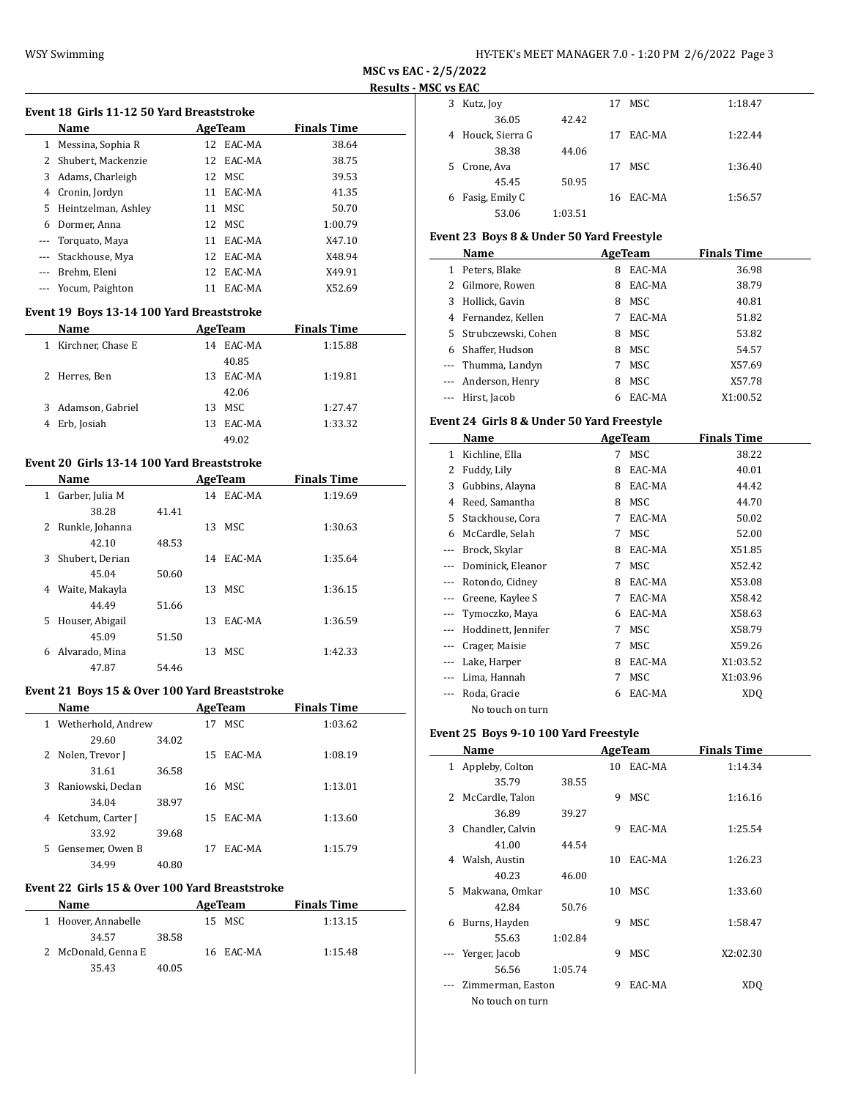| HY-TEK's MEET MANAGER 7.0 - 1:20 PM 2/6/2022 Page 3 |
|-----------------------------------------------------|
|-----------------------------------------------------|

#### **Event 18 Girls 11-12 50 Yard Breaststroke**

|     | <b>Name</b>          |    | AgeTeam   | <b>Finals Time</b> |
|-----|----------------------|----|-----------|--------------------|
| 1   | Messina, Sophia R    |    | 12 EAC-MA | 38.64              |
|     | 2 Shubert, Mackenzie |    | 12 EAC-MA | 38.75              |
| 3   | Adams, Charleigh     |    | 12 MSC    | 39.53              |
| 4   | Cronin, Jordyn       | 11 | EAC-MA    | 41.35              |
| 5.  | Heintzelman, Ashley  | 11 | MSC.      | 50.70              |
| 6   | Dormer, Anna         |    | 12 MSC    | 1:00.79            |
|     | --- Torquato, Maya   | 11 | EAC-MA    | X47.10             |
| --- | Stackhouse, Mya      | 12 | EAC-MA    | X48.94             |
|     | Brehm, Eleni         | 12 | EAC-MA    | X49.91             |
|     | Yocum, Paighton      | 11 | EAC-MA    | X52.69             |

# **Event 19 Boys 13-14 100 Yard Breaststroke**

| <b>Name</b>            | AgeTeam       | <b>Finals Time</b> |
|------------------------|---------------|--------------------|
| Kirchner, Chase E<br>1 | EAC-MA<br>14  | 1:15.88            |
|                        | 40.85         |                    |
| 2 Herres, Ben          | EAC-MA<br>13. | 1:19.81            |
|                        | 42.06         |                    |
| 3 Adamson, Gabriel     | MSC<br>13     | 1:27.47            |
| Erb, Josiah<br>4       | EAC-MA<br>13  | 1:33.32            |
|                        | 49.02         |                    |

# **Event 20 Girls 13-14 100 Yard Breaststroke**

|              | Name            |       |    | AgeTeam    | <b>Finals Time</b> |  |
|--------------|-----------------|-------|----|------------|--------------------|--|
| $\mathbf{1}$ | Garber, Julia M |       |    | 14 EAC-MA  | 1:19.69            |  |
|              | 38.28           | 41.41 |    |            |                    |  |
| 2            | Runkle, Johanna |       |    | 13 MSC     | 1:30.63            |  |
|              | 42.10           | 48.53 |    |            |                    |  |
| 3            | Shubert, Derian |       |    | 14 EAC-MA  | 1:35.64            |  |
|              | 45.04           | 50.60 |    |            |                    |  |
| 4            | Waite, Makayla  |       |    | 13 MSC     | 1:36.15            |  |
|              | 44.49           | 51.66 |    |            |                    |  |
| 5            | Houser, Abigail |       | 13 | EAC-MA     | 1:36.59            |  |
|              | 45.09           | 51.50 |    |            |                    |  |
| 6            | Alvarado, Mina  |       | 13 | <b>MSC</b> | 1:42.33            |  |
|              | 47.87           | 54.46 |    |            |                    |  |

### **Event 21 Boys 15 & Over 100 Yard Breaststroke**

| Name                    |       |     | AgeTeam   | <b>Finals Time</b> |  |
|-------------------------|-------|-----|-----------|--------------------|--|
| Wetherhold, Andrew<br>1 |       | 17  | MSC       | 1:03.62            |  |
| 29.60                   | 34.02 |     |           |                    |  |
| 2 Nolen, Trevor J       |       | 15. | EAC-MA    | 1:08.19            |  |
| 31.61                   | 36.58 |     |           |                    |  |
| Raniowski, Declan<br>3  |       |     | 16 MSC    | 1:13.01            |  |
| 34.04                   | 38.97 |     |           |                    |  |
| Ketchum, Carter J<br>4  |       |     | 15 EAC-MA | 1:13.60            |  |
| 33.92                   | 39.68 |     |           |                    |  |
| Gensemer, Owen B<br>5.  |       | 17  | EAC-MA    | 1:15.79            |  |
| 34.99                   | 40.80 |     |           |                    |  |

# **Event 22 Girls 15 & Over 100 Yard Breaststroke**

| <b>Name</b>         | AgeTeam |  |           | <b>Finals Time</b> |
|---------------------|---------|--|-----------|--------------------|
| 1 Hoover, Annabelle |         |  | 15 MSC    | 1:13.15            |
| 34.57               | 38.58   |  |           |                    |
| 2 McDonald, Genna E |         |  | 16 EAC-MA | 1:15.48            |
| 35.43               | 40.05   |  |           |                    |

|    | IL VS EAL         |         |    |           |         |
|----|-------------------|---------|----|-----------|---------|
| 3  | Kutz, Joy         |         | 17 | MSC       | 1:18.47 |
|    | 36.05             | 42.42   |    |           |         |
|    | 4 Houck, Sierra G |         | 17 | EAC-MA    | 1:22.44 |
|    | 38.38             | 44.06   |    |           |         |
| 5. | Crone, Ava        |         | 17 | MSC       | 1:36.40 |
|    | 45.45             | 50.95   |    |           |         |
| 6  | Fasig, Emily C    |         |    | 16 EAC-MA | 1:56.57 |
|    | 53.06             | 1:03.51 |    |           |         |

# **Event 23 Boys 8 & Under 50 Yard Freestyle**

|    | Name                  |   | AgeTeam | <b>Finals Time</b> |  |
|----|-----------------------|---|---------|--------------------|--|
| 1. | Peters, Blake         | 8 | EAC-MA  | 36.98              |  |
| 2  | Gilmore, Rowen        | 8 | EAC-MA  | 38.79              |  |
| 3  | Hollick, Gavin        | 8 | MSC     | 40.81              |  |
|    | 4 Fernandez, Kellen   |   | EAC-MA  | 51.82              |  |
|    | 5 Strubczewski, Cohen | 8 | MSC     | 53.82              |  |
| 6. | Shaffer, Hudson       | 8 | MSC     | 54.57              |  |
|    | --- Thumma, Landyn    | 7 | MSC     | X57.69             |  |
|    | --- Anderson, Henry   | 8 | MSC     | X57.78             |  |
|    | --- Hirst, Jacob      |   | EAC-MA  | X1:00.52           |  |

## **Event 24 Girls 8 & Under 50 Yard Freestyle**

|       | Name                |   | <b>AgeTeam</b> | <b>Finals Time</b> |  |
|-------|---------------------|---|----------------|--------------------|--|
| 1     | Kichline, Ella      | 7 | MSC.           | 38.22              |  |
| 2     | Fuddy, Lily         | 8 | EAC-MA         | 40.01              |  |
| 3     | Gubbins, Alayna     | 8 | EAC-MA         | 44.42              |  |
| 4     | Reed, Samantha      | 8 | MSC            | 44.70              |  |
| 5.    | Stackhouse, Cora    | 7 | EAC-MA         | 50.02              |  |
| 6     | McCardle, Selah     | 7 | MSC            | 52.00              |  |
| $---$ | Brock, Skylar       | 8 | EAC-MA         | X51.85             |  |
|       | Dominick, Eleanor   | 7 | MSC            | X52.42             |  |
| ---   | Rotondo, Cidney     | 8 | EAC-MA         | X53.08             |  |
|       | Greene, Kaylee S    | 7 | EAC-MA         | X58.42             |  |
|       | Tymoczko, Maya      | 6 | EAC-MA         | X58.63             |  |
| ---   | Hoddinett, Jennifer | 7 | MSC            | X58.79             |  |
| ---   | Crager, Maisie      | 7 | MSC            | X59.26             |  |
|       | Lake, Harper        | 8 | EAC-MA         | X1:03.52           |  |
|       | Lima, Hannah        | 7 | MSC            | X1:03.96           |  |
|       | Roda, Gracie        | 6 | EAC-MA         | XD <sub>0</sub>    |  |
|       | No touch on turn    |   |                |                    |  |

# **Event 25 Boys 9-10 100 Yard Freestyle**

|              | Name              |         |    | AgeTeam | <b>Finals Time</b> |  |
|--------------|-------------------|---------|----|---------|--------------------|--|
| $\mathbf{1}$ | Appleby, Colton   |         | 10 | EAC-MA  | 1:14.34            |  |
|              | 35.79             | 38.55   |    |         |                    |  |
|              | 2 McCardle, Talon |         | 9  | MSC     | 1:16.16            |  |
|              | 36.89             | 39.27   |    |         |                    |  |
| 3            | Chandler, Calvin  |         | 9  | EAC-MA  | 1:25.54            |  |
|              | 41.00             | 44.54   |    |         |                    |  |
| 4            | Walsh, Austin     |         | 10 | EAC-MA  | 1:26.23            |  |
|              | 40.23             | 46.00   |    |         |                    |  |
| 5.           | Makwana, Omkar    |         | 10 | MSC.    | 1:33.60            |  |
|              | 42.84             | 50.76   |    |         |                    |  |
| 6            | Burns, Hayden     |         | 9  | MSC     | 1:58.47            |  |
|              | 55.63             | 1:02.84 |    |         |                    |  |
| $\cdots$     | Yerger, Jacob     |         | 9  | MSC     | X2:02.30           |  |
|              | 56.56             | 1:05.74 |    |         |                    |  |
| $- - -$      | Zimmerman, Easton |         | 9  | EAC-MA  | XDO                |  |
|              | No touch on turn  |         |    |         |                    |  |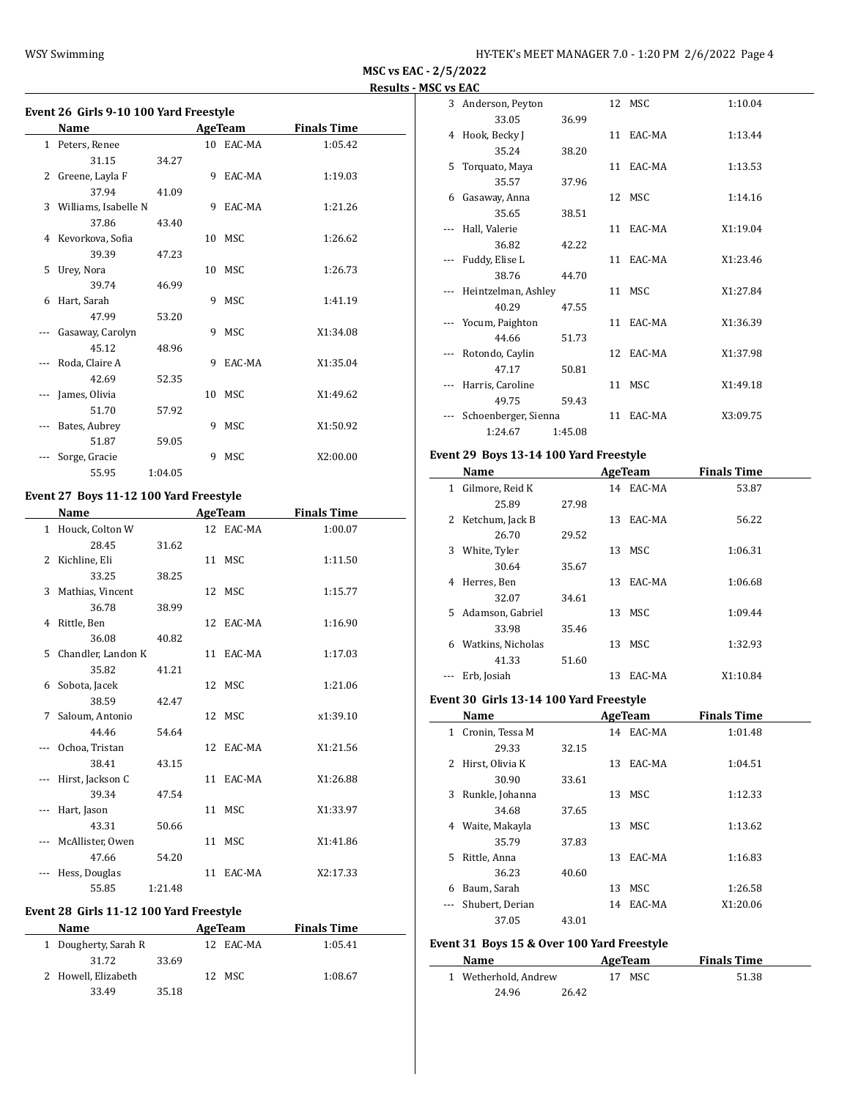| Event 26 Girls 9-10 100 Yard Freestyle |                      |         |    |                |                    |  |  |
|----------------------------------------|----------------------|---------|----|----------------|--------------------|--|--|
|                                        | Name                 |         |    | <b>AgeTeam</b> | <b>Finals Time</b> |  |  |
|                                        | 1 Peters, Renee      |         |    | 10 EAC-MA      | 1:05.42            |  |  |
|                                        | 31.15                | 34.27   |    |                |                    |  |  |
| $\overline{2}$                         | Greene, Layla F      |         | 9  | EAC-MA         | 1:19.03            |  |  |
|                                        | 37.94                | 41.09   |    |                |                    |  |  |
| 3                                      | Williams, Isabelle N |         | 9  | EAC-MA         | 1:21.26            |  |  |
|                                        | 37.86                | 43.40   |    |                |                    |  |  |
| 4                                      | Kevorkova, Sofia     |         | 10 | MSC            | 1:26.62            |  |  |
|                                        | 39.39                | 47.23   |    |                |                    |  |  |
| 5                                      | Urey, Nora           |         |    | 10 MSC         | 1:26.73            |  |  |
|                                        | 39.74                | 46.99   |    |                |                    |  |  |
| 6                                      | Hart, Sarah          |         | 9  | MSC            | 1:41.19            |  |  |
|                                        | 47.99                | 53.20   |    |                |                    |  |  |
|                                        | Gasaway, Carolyn     |         | 9  | MSC            | X1:34.08           |  |  |
|                                        | 45.12                | 48.96   |    |                |                    |  |  |
|                                        | Roda, Claire A       |         | 9  | EAC-MA         | X1:35.04           |  |  |
|                                        | 42.69                | 52.35   |    |                |                    |  |  |
|                                        | James, Olivia        |         | 10 | <b>MSC</b>     | X1:49.62           |  |  |
|                                        | 51.70                | 57.92   |    |                |                    |  |  |
|                                        | Bates, Aubrey        |         | 9  | <b>MSC</b>     | X1:50.92           |  |  |
|                                        | 51.87                | 59.05   |    |                |                    |  |  |
|                                        | Sorge, Gracie        |         | 9  | <b>MSC</b>     | X2:00.00           |  |  |
|                                        | 55.95                | 1:04.05 |    |                |                    |  |  |

# **Event 27 Boys 11-12 100 Yard Freestyle**

|          | <b>Name</b>          |         | <b>AgeTeam</b> | <b>Finals Time</b> |
|----------|----------------------|---------|----------------|--------------------|
|          | 1 Houck, Colton W    |         | 12 EAC-MA      | 1:00.07            |
|          | 28.45                | 31.62   |                |                    |
|          | 2 Kichline, Eli      |         | 11 MSC         | 1:11.50            |
|          | 33.25                | 38.25   |                |                    |
|          | 3 Mathias, Vincent   |         | 12 MSC         | 1:15.77            |
|          | 36.78                | 38.99   |                |                    |
|          | 4 Rittle, Ben        |         | 12 EAC-MA      | 1:16.90            |
|          | 36.08                | 40.82   |                |                    |
|          | 5 Chandler, Landon K |         | 11 EAC-MA      | 1:17.03            |
|          | 35.82                | 41.21   |                |                    |
|          | 6 Sobota, Jacek      |         | 12 MSC         | 1:21.06            |
|          | 38.59                | 42.47   |                |                    |
| 7        | Saloum, Antonio      |         | 12 MSC         | x1:39.10           |
|          | 44.46                | 54.64   |                |                    |
| $\cdots$ | Ochoa, Tristan       |         | 12 EAC-MA      | X1:21.56           |
|          | 38.41                | 43.15   |                |                    |
| $\cdots$ | Hirst, Jackson C     |         | 11 EAC-MA      | X1:26.88           |
|          | 39.34                | 47.54   |                |                    |
|          | --- Hart, Jason      |         | 11 MSC         | X1:33.97           |
|          | 43.31                | 50.66   |                |                    |
|          | --- McAllister, Owen |         | 11 MSC         | X1:41.86           |
|          | 47.66                | 54.20   |                |                    |
|          | Hess, Douglas        |         | 11 EAC-MA      | X2:17.33           |
|          | 55.85                | 1:21.48 |                |                    |

## **Event 28 Girls 11-12 100 Yard Freestyle**

| <b>Name</b>          |       | AgeTeam   | <b>Finals Time</b> |  |
|----------------------|-------|-----------|--------------------|--|
| 1 Dougherty, Sarah R |       | 12 EAC-MA | 1:05.41            |  |
| 31.72                | 33.69 |           |                    |  |
| 2 Howell, Elizabeth  |       | 12 MSC    | 1:08.67            |  |
| 33.49                | 35.18 |           |                    |  |

|   | 3 Anderson, Peyton   |         | 12 MSC    | 1:10.04  |  |
|---|----------------------|---------|-----------|----------|--|
|   | 33.05                | 36.99   |           |          |  |
|   | 4 Hook, Becky J      |         | 11 EAC-MA | 1:13.44  |  |
|   | 35.24                | 38.20   |           |          |  |
| 5 | Torquato, Maya       |         | 11 EAC-MA | 1:13.53  |  |
|   | 35.57                | 37.96   |           |          |  |
| 6 | Gasaway, Anna        |         | 12 MSC    | 1:14.16  |  |
|   | 35.65                | 38.51   |           |          |  |
|   | Hall, Valerie        |         | 11 EAC-MA | X1:19.04 |  |
|   | 36.82                | 42.22   |           |          |  |
|   | Fuddy, Elise L       |         | 11 EAC-MA | X1:23.46 |  |
|   | 38.76                | 44.70   |           |          |  |
|   | Heintzelman, Ashley  |         | 11 MSC    | X1:27.84 |  |
|   | 40.29                | 47.55   |           |          |  |
|   | Yocum, Paighton      |         | 11 EAC-MA | X1:36.39 |  |
|   | 44.66                | 51.73   |           |          |  |
|   | Rotondo, Caylin      |         | 12 EAC-MA | X1:37.98 |  |
|   | 47.17                | 50.81   |           |          |  |
|   | Harris, Caroline     |         | 11 MSC    | X1:49.18 |  |
|   | 49.75                | 59.43   |           |          |  |
|   | Schoenberger, Sienna |         | 11 EAC-MA | X3:09.75 |  |
|   | 1:24.67              | 1:45.08 |           |          |  |

# **Event 29 Boys 13-14 100 Yard Freestyle**

|    | Name              |       |    | AgeTeam   | <b>Finals Time</b> |  |
|----|-------------------|-------|----|-----------|--------------------|--|
| 1  | Gilmore, Reid K   |       |    | 14 EAC-MA | 53.87              |  |
|    | 25.89             | 27.98 |    |           |                    |  |
| 2  | Ketchum, Jack B   |       | 13 | EAC-MA    | 56.22              |  |
|    | 26.70             | 29.52 |    |           |                    |  |
| 3  | White, Tyler      |       | 13 | MSC       | 1:06.31            |  |
|    | 30.64             | 35.67 |    |           |                    |  |
| 4  | Herres, Ben       |       | 13 | EAC-MA    | 1:06.68            |  |
|    | 32.07             | 34.61 |    |           |                    |  |
| 5. | Adamson, Gabriel  |       | 13 | MSC       | 1:09.44            |  |
|    | 33.98             | 35.46 |    |           |                    |  |
| 6  | Watkins, Nicholas |       | 13 | MSC.      | 1:32.93            |  |
|    | 41.33             | 51.60 |    |           |                    |  |
|    | Erb, Josiah       |       | 13 | EAC-MA    | X1:10.84           |  |

#### **Event 30 Girls 13-14 100 Yard Freestyle**

| Name                 |       |    |        | <b>Finals Time</b>                      |
|----------------------|-------|----|--------|-----------------------------------------|
| Cronin, Tessa M<br>1 |       |    |        | 1:01.48                                 |
| 29.33                | 32.15 |    |        |                                         |
| Hirst, Olivia K<br>2 |       | 13 | EAC-MA | 1:04.51                                 |
| 30.90                | 33.61 |    |        |                                         |
| Runkle, Johanna      |       |    | MSC    | 1:12.33                                 |
| 34.68                | 37.65 |    |        |                                         |
| Waite, Makayla       |       | 13 | MSC    | 1:13.62                                 |
| 35.79                | 37.83 |    |        |                                         |
| Rittle, Anna         |       | 13 | EAC-MA | 1:16.83                                 |
| 36.23                | 40.60 |    |        |                                         |
| Baum, Sarah          |       | 13 | MSC    | 1:26.58                                 |
| Shubert, Derian      |       |    |        | X1:20.06                                |
| 37.05                | 43.01 |    |        |                                         |
|                      |       |    |        | AgeTeam<br>14 EAC-MA<br>13<br>14 EAC-MA |

# **Event 31 Boys 15 & Over 100 Yard Freestyle**

| <b>Name</b>          |       | AgeTeam | <b>Finals Time</b> |  |
|----------------------|-------|---------|--------------------|--|
| 1 Wetherhold, Andrew |       | 17 MSC  | 51.38              |  |
| 24.96                | 26.42 |         |                    |  |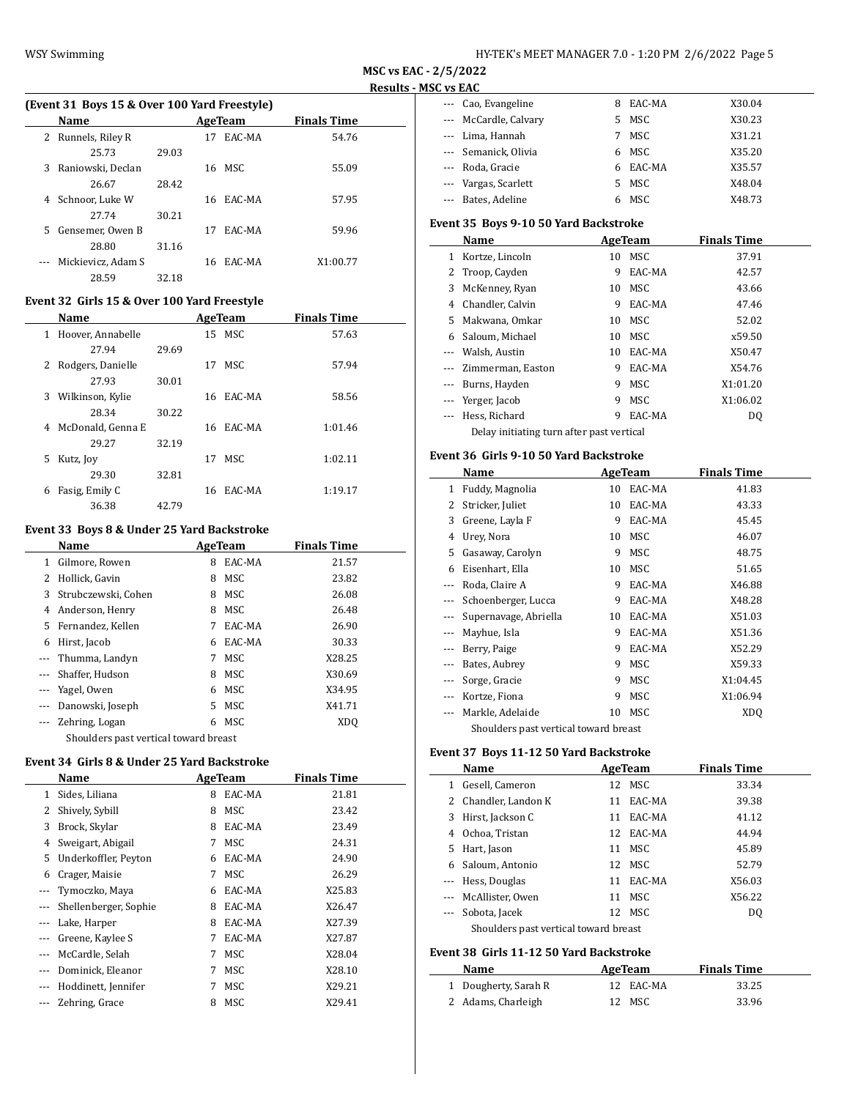$\frac{1}{2}$ 

 $\overline{\phantom{a}}$ 

|    |                                              |       |    |           |                    | . |
|----|----------------------------------------------|-------|----|-----------|--------------------|---|
|    | (Event 31 Boys 15 & Over 100 Yard Freestyle) |       |    |           |                    |   |
|    | <b>Name</b>                                  |       |    | AgeTeam   | <b>Finals Time</b> |   |
| 2  | Runnels, Riley R                             |       | 17 | EAC-MA    | 54.76              |   |
|    | 25.73                                        | 29.03 |    |           |                    |   |
| 3. | Raniowski, Declan                            |       |    | 16 MSC    | 55.09              |   |
|    | 26.67                                        | 28.42 |    |           |                    |   |
| 4  | Schnoor, Luke W                              |       |    | 16 EAC-MA | 57.95              |   |
|    | 27.74                                        | 30.21 |    |           |                    |   |
| 5. | Gensemer, Owen B                             |       | 17 | EAC-MA    | 59.96              |   |
|    | 28.80                                        | 31.16 |    |           |                    |   |
|    | Mickievicz, Adam S                           |       |    | 16 EAC-MA | X1:00.77           |   |
|    | 28.59                                        | 32.18 |    |           |                    |   |

# **Event 32 Girls 15 & Over 100 Yard Freestyle**

|   | Name              |       |    | AgeTeam   | <b>Finals Time</b> |
|---|-------------------|-------|----|-----------|--------------------|
| 1 | Hoover, Annabelle |       |    | 15 MSC    | 57.63              |
|   | 27.94             | 29.69 |    |           |                    |
| 2 | Rodgers, Danielle |       | 17 | MSC.      | 57.94              |
|   | 27.93             | 30.01 |    |           |                    |
| 3 | Wilkinson, Kylie  |       |    | 16 EAC-MA | 58.56              |
|   | 28.34             | 30.22 |    |           |                    |
| 4 | McDonald, Genna E |       | 16 | EAC-MA    | 1:01.46            |
|   | 29.27             | 32.19 |    |           |                    |
| 5 | Kutz, Joy         |       | 17 | MSC.      | 1:02.11            |
|   | 29.30             | 32.81 |    |           |                    |
| 6 | Fasig, Emily C    |       | 16 | EAC-MA    | 1:19.17            |
|   | 36.38             | 42.79 |    |           |                    |

## **Event 33 Boys 8 & Under 25 Yard Backstroke**

|          | Name                                  |    | AgeTeam | <b>Finals Time</b> |  |
|----------|---------------------------------------|----|---------|--------------------|--|
| 1        | Gilmore, Rowen                        | 8  | EAC-MA  | 21.57              |  |
| 2        | Hollick, Gavin                        | 8  | MSC     | 23.82              |  |
| 3        | Strubczewski, Cohen                   | 8  | MSC     | 26.08              |  |
| 4        | Anderson, Henry                       | 8  | MSC     | 26.48              |  |
|          | 5 Fernandez, Kellen                   |    | EAC-MA  | 26.90              |  |
| 6        | Hirst, Jacob                          | 6  | EAC-MA  | 30.33              |  |
| $\cdots$ | Thumma, Landyn                        | 7  | MSC     | X28.25             |  |
| $\cdots$ | Shaffer, Hudson                       | 8  | MSC     | X30.69             |  |
|          | --- Yagel, Owen                       | 6  | MSC     | X34.95             |  |
|          | --- Danowski, Joseph                  | 5. | MSC     | X41.71             |  |
|          | Zehring, Logan                        | 6  | MSC     | XD <sub>O</sub>    |  |
|          | Shoulders past vertical toward breast |    |         |                    |  |

#### **Event 34 Girls 8 & Under 25 Yard Backstroke**

|       | Name                  |   | AgeTeam | <b>Finals Time</b> |
|-------|-----------------------|---|---------|--------------------|
| 1     | Sides, Liliana        | 8 | EAC-MA  | 21.81              |
| 2     | Shively, Sybill       | 8 | MSC     | 23.42              |
| 3     | Brock, Skylar         | 8 | EAC-MA  | 23.49              |
| 4     | Sweigart, Abigail     | 7 | MSC     | 24.31              |
| 5     | Underkoffler, Peyton  | 6 | EAC-MA  | 24.90              |
| 6     | Crager, Maisie        | 7 | MSC     | 26.29              |
|       | Tymoczko, Maya        | 6 | EAC-MA  | X25.83             |
| ---   | Shellenberger, Sophie | 8 | EAC-MA  | X26.47             |
| $---$ | Lake, Harper          | 8 | EAC-MA  | X27.39             |
|       | Greene, Kaylee S      | 7 | EAC-MA  | X27.87             |
| $---$ | McCardle, Selah       | 7 | MSC     | X28.04             |
|       | Dominick, Eleanor     | 7 | MSC     | X28.10             |
| $---$ | Hoddinett, Jennifer   | 7 | MSC     | X29.21             |
|       | Zehring, Grace        | 8 | MSC     | X29.41             |

| --- Cao, Evangeline   | 8  | EAC-MA | X30.04 |
|-----------------------|----|--------|--------|
| --- McCardle, Calvary | 5. | MSC    | X30.23 |
| --- Lima, Hannah      |    | MSC    | X31.21 |
| --- Semanick, Olivia  | 6  | MSC.   | X35.20 |
| --- Roda, Gracie      | 6  | EAC-MA | X35.57 |
| --- Vargas, Scarlett  |    | MSC    | X48.04 |
| --- Bates, Adeline    |    | MSC    | X48.73 |

#### **Event 35 Boys 9-10 50 Yard Backstroke**

|    | Name                                      |    | AgeTeam | <b>Finals Time</b> |
|----|-------------------------------------------|----|---------|--------------------|
| 1  | Kortze, Lincoln                           | 10 | MSC     | 37.91              |
| 2  | Troop, Cayden                             | 9  | EAC-MA  | 42.57              |
| 3  | McKenney, Ryan                            | 10 | MSC     | 43.66              |
| 4  | Chandler, Calvin                          | 9  | EAC-MA  | 47.46              |
| 5. | Makwana, Omkar                            | 10 | MSC     | 52.02              |
| 6  | Saloum, Michael                           | 10 | MSC     | x59.50             |
|    | Walsh, Austin                             | 10 | EAC-MA  | X50.47             |
|    | Zimmerman, Easton                         | 9  | EAC-MA  | X54.76             |
|    | Burns, Hayden                             | 9  | MSC     | X1:01.20           |
|    | Yerger, Jacob                             | 9  | MSC     | X1:06.02           |
|    | Hess, Richard                             | 9  | EAC-MA  | D <sub>0</sub>     |
|    | Delay initiating turn after past vertical |    |         |                    |

#### **Event 36 Girls 9-10 50 Yard Backstroke**

|   | Name                                  |    | AgeTeam | <b>Finals Time</b> |  |
|---|---------------------------------------|----|---------|--------------------|--|
| 1 | Fuddy, Magnolia                       | 10 | EAC-MA  | 41.83              |  |
| 2 | Stricker, Juliet                      | 10 | EAC-MA  | 43.33              |  |
| 3 | Greene, Layla F                       | 9  | EAC-MA  | 45.45              |  |
| 4 | Urey, Nora                            | 10 | MSC     | 46.07              |  |
| 5 | Gasaway, Carolyn                      | 9  | MSC     | 48.75              |  |
| 6 | Eisenhart, Ella                       | 10 | MSC     | 51.65              |  |
|   | Roda, Claire A                        | 9  | EAC-MA  | X46.88             |  |
|   | Schoenberger, Lucca                   | 9  | EAC-MA  | X48.28             |  |
|   | Supernavage, Abriella                 | 10 | EAC-MA  | X51.03             |  |
|   | Mayhue, Isla                          | 9  | EAC-MA  | X51.36             |  |
|   | Berry, Paige                          | 9  | EAC-MA  | X52.29             |  |
|   | Bates, Aubrey                         | 9  | MSC     | X59.33             |  |
|   | Sorge, Gracie                         | 9  | MSC     | X1:04.45           |  |
|   | Kortze, Fiona                         | 9  | MSC     | X1:06.94           |  |
|   | Markle, Adelaide                      | 10 | MSC     | XD <sub>0</sub>    |  |
|   | Shoulders past vertical toward breast |    |         |                    |  |

# **Event 37 Boys 11-12 50 Yard Backstroke**

|    | Name                                  |    | AgeTeam   | <b>Finals Time</b> |
|----|---------------------------------------|----|-----------|--------------------|
|    | 1 Gesell, Cameron                     |    | 12 MSC    | 33.34              |
|    | 2 Chandler, Landon K                  | 11 | EAC-MA    | 39.38              |
| 3  | Hirst, Jackson C                      |    | 11 EAC-MA | 41.12              |
| 4  | Ochoa, Tristan                        |    | 12 EAC-MA | 44.94              |
| 5. | Hart, Jason                           | 11 | MSC.      | 45.89              |
|    | 6 Saloum, Antonio                     |    | 12 MSC    | 52.79              |
|    | Hess, Douglas                         |    | 11 EAC-MA | X56.03             |
|    | --- McAllister. Owen                  | 11 | MSC       | X56.22             |
|    | Sobota, Jacek                         |    | 12 MSC    | D <sub>0</sub>     |
|    | Shoulders past vertical toward breast |    |           |                    |

# **Event 38 Girls 11-12 50 Yard Backstroke**

| Name                 | AgeTeam   | <b>Finals Time</b> |
|----------------------|-----------|--------------------|
| 1 Dougherty, Sarah R | 12 EAC-MA | 33.25              |
| 2 Adams, Charleigh   | 12 MSC    | 33.96              |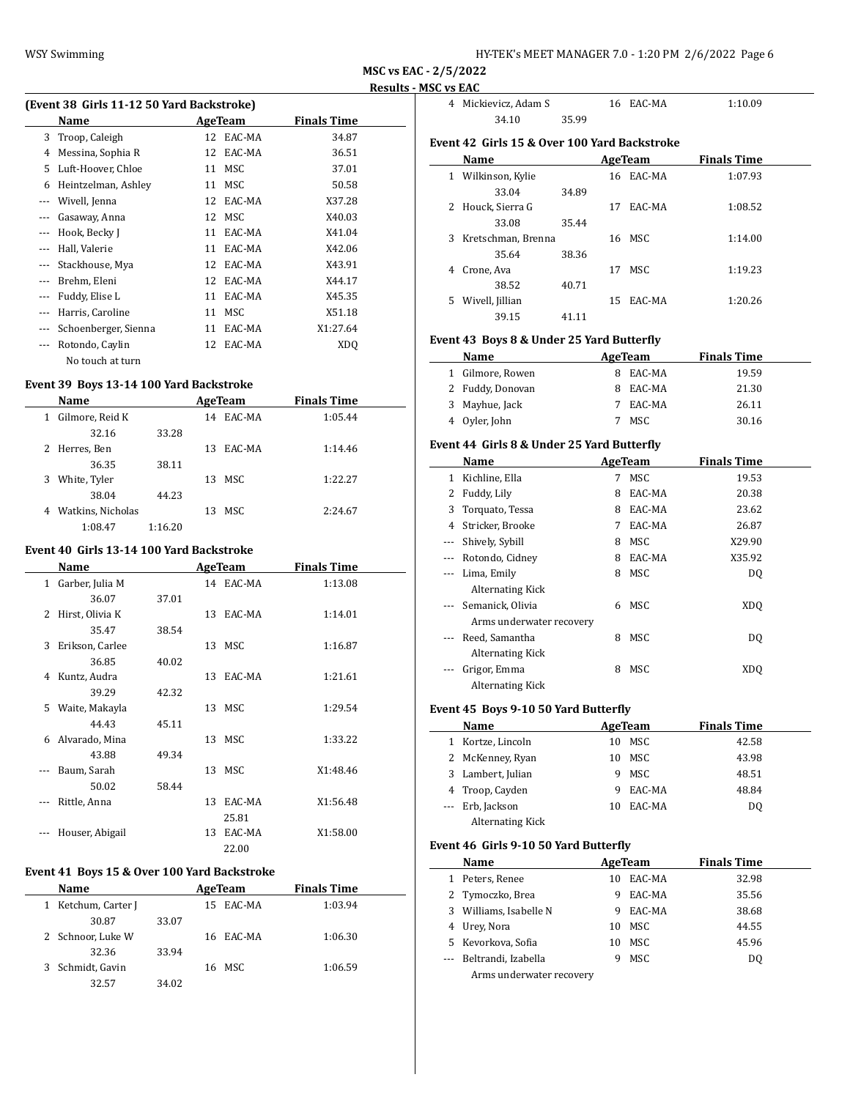| HY-TEK's MEET MANAGER 7.0 - 1:20 PM 2/6/2022 Page 6 |  |  |  |  |  |  |  |  |  |  |  |  |  |  |  |  |  |  |  |  |  |  |  |  |  |  |  |  |  |  |  |  |  |  |  |  |  |  |  |  |  |  |  |  |  |  |  |  |  |  |  |  |  |  |  |  |  |  |  |  |  |  |  |  |  |  |  |  |  |  |  |  |  |  |  |  |  |  |  |  |  |  |  |  |  |  |  |  |  |  |  |  |  |  |  |  |  |  |  |  |  |  |  |  |  |  |  |  |  |  |  |  |  |  |  |  |  |  |  |  |  |  |  |  |  |  |  |  |  |  |  |  |  |  |  |  |  |  |  |  |  |  |  |  |  |  |
|-----------------------------------------------------|--|--|--|--|--|--|--|--|--|--|--|--|--|--|--|--|--|--|--|--|--|--|--|--|--|--|--|--|--|--|--|--|--|--|--|--|--|--|--|--|--|--|--|--|--|--|--|--|--|--|--|--|--|--|--|--|--|--|--|--|--|--|--|--|--|--|--|--|--|--|--|--|--|--|--|--|--|--|--|--|--|--|--|--|--|--|--|--|--|--|--|--|--|--|--|--|--|--|--|--|--|--|--|--|--|--|--|--|--|--|--|--|--|--|--|--|--|--|--|--|--|--|--|--|--|--|--|--|--|--|--|--|--|--|--|--|--|--|--|--|--|--|--|--|--|--|
|-----------------------------------------------------|--|--|--|--|--|--|--|--|--|--|--|--|--|--|--|--|--|--|--|--|--|--|--|--|--|--|--|--|--|--|--|--|--|--|--|--|--|--|--|--|--|--|--|--|--|--|--|--|--|--|--|--|--|--|--|--|--|--|--|--|--|--|--|--|--|--|--|--|--|--|--|--|--|--|--|--|--|--|--|--|--|--|--|--|--|--|--|--|--|--|--|--|--|--|--|--|--|--|--|--|--|--|--|--|--|--|--|--|--|--|--|--|--|--|--|--|--|--|--|--|--|--|--|--|--|--|--|--|--|--|--|--|--|--|--|--|--|--|--|--|--|--|--|--|--|--|

**MSC vs EAC - 2/5/2022**

# **Results - MSC vs EAC**

|          | (Event 38 Girls 11-12 50 Yard Backstroke) |    |                |                    |  |
|----------|-------------------------------------------|----|----------------|--------------------|--|
|          | Name                                      |    | <b>AgeTeam</b> | <b>Finals Time</b> |  |
| 3        | Troop, Caleigh                            | 12 | EAC-MA         | 34.87              |  |
| 4        | Messina, Sophia R                         | 12 | EAC-MA         | 36.51              |  |
| 5        | Luft-Hoover, Chloe                        |    | 11 MSC         | 37.01              |  |
| 6        | Heintzelman, Ashley                       | 11 | MSC            | 50.58              |  |
| $---$    | Wivell, Jenna                             | 12 | EAC-MA         | X37.28             |  |
| ---      | Gasaway, Anna                             |    | 12 MSC         | X40.03             |  |
| $\cdots$ | Hook, Becky J                             | 11 | EAC-MA         | X41.04             |  |
| $- - -$  | Hall, Valerie                             | 11 | EAC-MA         | X42.06             |  |
| $- - -$  | Stackhouse, Mya                           | 12 | EAC-MA         | X43.91             |  |
| $- - -$  | Brehm, Eleni                              |    | 12 EAC-MA      | X44.17             |  |
| ---      | Fuddy, Elise L                            | 11 | EAC-MA         | X45.35             |  |
| $- - -$  | Harris, Caroline                          | 11 | MSC            | X51.18             |  |
| $---$    | Schoenberger, Sienna                      | 11 | EAC-MA         | X1:27.64           |  |
| $---$    | Rotondo, Caylin                           | 12 | EAC-MA         | XDO                |  |
|          | No touch at turn                          |    |                |                    |  |

#### **Event 39 Boys 13-14 100 Yard Backstroke**

|   | Name              |         |    | AgeTeam | <b>Finals Time</b> |  |
|---|-------------------|---------|----|---------|--------------------|--|
| 1 | Gilmore, Reid K   |         | 14 | EAC-MA  | 1:05.44            |  |
|   | 32.16             | 33.28   |    |         |                    |  |
|   | 2 Herres, Ben     |         | 13 | EAC-MA  | 1:14.46            |  |
|   | 36.35             | 38.11   |    |         |                    |  |
| 3 | White, Tyler      |         |    | 13 MSC  | 1:22.27            |  |
|   | 38.04             | 44.23   |    |         |                    |  |
| 4 | Watkins, Nicholas |         |    | 13 MSC  | 2:24.67            |  |
|   | 1:08.47           | 1:16.20 |    |         |                    |  |

## **Event 40 Girls 13-14 100 Yard Backstroke**

|    | Name              |       |    | <b>AgeTeam</b> | <b>Finals Time</b> |  |
|----|-------------------|-------|----|----------------|--------------------|--|
|    | 1 Garber, Julia M |       |    | 14 EAC-MA      | 1:13.08            |  |
|    | 36.07             | 37.01 |    |                |                    |  |
| 2  | Hirst, Olivia K   |       |    | 13 EAC-MA      | 1:14.01            |  |
|    | 35.47             | 38.54 |    |                |                    |  |
| 3  | Erikson, Carlee   |       |    | 13 MSC         | 1:16.87            |  |
|    | 36.85             | 40.02 |    |                |                    |  |
| 4  | Kuntz, Audra      |       | 13 | EAC-MA         | 1:21.61            |  |
|    | 39.29             | 42.32 |    |                |                    |  |
| 5. | Waite, Makayla    |       |    | 13 MSC         | 1:29.54            |  |
|    | 44.43             | 45.11 |    |                |                    |  |
| 6  | Alvarado, Mina    |       |    | 13 MSC         | 1:33.22            |  |
|    | 43.88             | 49.34 |    |                |                    |  |
|    | Baum, Sarah       |       |    | 13 MSC         | X1:48.46           |  |
|    | 50.02             | 58.44 |    |                |                    |  |
|    | Rittle, Anna      |       | 13 | EAC-MA         | X1:56.48           |  |
|    |                   |       |    | 25.81          |                    |  |
|    | Houser, Abigail   |       | 13 | EAC-MA         | X1:58.00           |  |
|    |                   |       |    | 22.00          |                    |  |

# **Event 41 Boys 15 & Over 100 Yard Backstroke**

|   | Name              |       | AgeTeam   | <b>Finals Time</b> |
|---|-------------------|-------|-----------|--------------------|
| 1 | Ketchum, Carter J |       | 15 EAC-MA | 1:03.94            |
|   | 30.87             | 33.07 |           |                    |
|   | 2 Schnoor, Luke W |       | 16 EAC-MA | 1:06.30            |
|   | 32.36             | 33.94 |           |                    |
|   | 3 Schmidt, Gavin  |       | 16 MSC    | 1:06.59            |
|   | 32.57             | 34.02 |           |                    |

|    | 4 Mickievicz, Adam S                         |       |     | 16 EAC-MA | 1:10.09            |
|----|----------------------------------------------|-------|-----|-----------|--------------------|
|    | 34.10                                        | 35.99 |     |           |                    |
|    | Event 42 Girls 15 & Over 100 Yard Backstroke |       |     |           |                    |
|    | Name                                         |       |     | AgeTeam   | <b>Finals Time</b> |
| 1  | Wilkinson, Kylie                             |       |     | 16 EAC-MA | 1:07.93            |
|    | 33.04                                        | 34.89 |     |           |                    |
| 2  | Houck, Sierra G                              |       | 17  | EAC-MA    | 1:08.52            |
|    | 33.08                                        | 35.44 |     |           |                    |
| 3  | Kretschman, Brenna                           |       |     | 16 MSC    | 1:14.00            |
|    | 35.64                                        | 38.36 |     |           |                    |
| 4  | Crone, Ava                                   |       | 17  | MSC       | 1:19.23            |
|    | 38.52                                        | 40.71 |     |           |                    |
| 5. | Wivell, Jillian                              |       | 15. | EAC-MA    | 1:20.26            |
|    | 39.15                                        | 41.11 |     |           |                    |

# **Event 43 Boys 8 & Under 25 Yard Butterfly**

| Name             | AgeTeam |          | <b>Finals Time</b> |  |
|------------------|---------|----------|--------------------|--|
| 1 Gilmore, Rowen | 8.      | EAC-MA   | 19.59              |  |
| 2 Fuddy, Donovan |         | 8 EAC-MA | 21.30              |  |
| 3 Mayhue, Jack   |         | EAC-MA   | 26.11              |  |
| 4 Oyler, John    |         | MSC.     | 30.16              |  |

# **Event 44 Girls 8 & Under 25 Yard Butterfly**

|                          | Name                     |   | AgeTeam | <b>Finals Time</b> |  |
|--------------------------|--------------------------|---|---------|--------------------|--|
| 1                        | Kichline, Ella           | 7 | MSC     | 19.53              |  |
| 2                        | Fuddy, Lily              | 8 | EAC-MA  | 20.38              |  |
| 3                        | Torquato, Tessa          | 8 | EAC-MA  | 23.62              |  |
| 4                        | Stricker, Brooke         | 7 | EAC-MA  | 26.87              |  |
| $\overline{\phantom{a}}$ | Shively, Sybill          | 8 | MSC     | X29.90             |  |
|                          | Rotondo, Cidney          | 8 | EAC-MA  | X35.92             |  |
|                          | Lima, Emily              | 8 | MSC     | DQ                 |  |
|                          | <b>Alternating Kick</b>  |   |         |                    |  |
| $\cdots$                 | Semanick, Olivia         | 6 | MSC     | XDO                |  |
|                          | Arms underwater recovery |   |         |                    |  |
| $\cdots$                 | Reed, Samantha           | 8 | MSC     | DQ                 |  |
|                          | <b>Alternating Kick</b>  |   |         |                    |  |
|                          | Grigor, Emma             | 8 | MSC     | XDO                |  |
|                          | Alternating Kick         |   |         |                    |  |

# **Event 45 Boys 9-10 50 Yard Butterfly**

|   | Name                    |    | AgeTeam | <b>Finals Time</b> |  |
|---|-------------------------|----|---------|--------------------|--|
| 1 | Kortze, Lincoln         | 10 | MSC     | 42.58              |  |
|   | 2 McKenney, Ryan        | 10 | MSC     | 43.98              |  |
|   | 3 Lambert, Julian       | 9  | MSC     | 48.51              |  |
|   | 4 Troop, Cayden         | 9  | EAC-MA  | 48.84              |  |
|   | --- Erb, Jackson        | 10 | EAC-MA  | D <sub>0</sub>     |  |
|   | <b>Alternating Kick</b> |    |         |                    |  |

### **Event 46 Girls 9-10 50 Yard Butterfly**

|   | Name                     | AgeTeam |        | <b>Finals Time</b> |
|---|--------------------------|---------|--------|--------------------|
| 1 | Peters, Renee            | 10      | EAC-MA | 32.98              |
|   | 2 Tymoczko, Brea         | 9       | EAC-MA | 35.56              |
|   | 3 Williams, Isabelle N   | 9       | EAC-MA | 38.68              |
|   | 4 Urey, Nora             | 10      | MSC    | 44.55              |
|   | 5 Kevorkova, Sofia       | 10      | MSC.   | 45.96              |
|   | --- Beltrandi, Izabella  | 9       | MSC    | D <sub>0</sub>     |
|   | Arms underwater recovery |         |        |                    |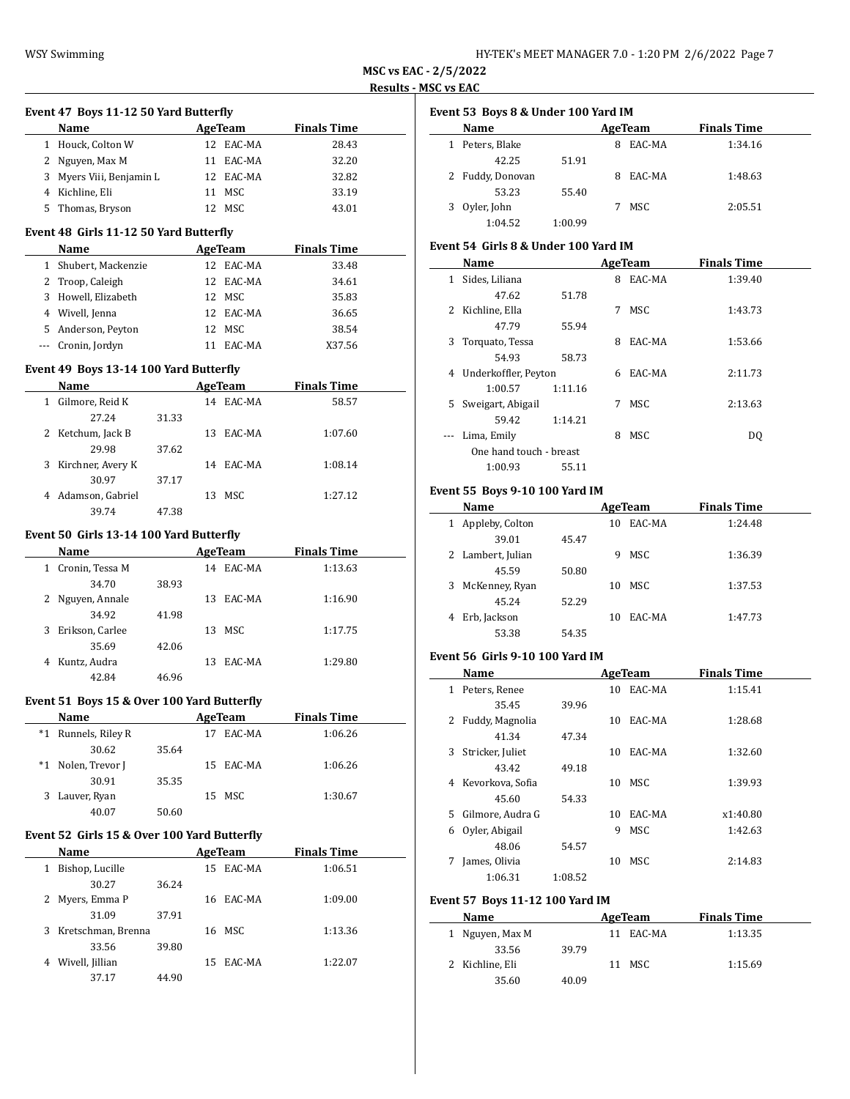$\overline{a}$ 

**MSC vs EAC - 2/5/2022 Results - MSC vs EAC**

 $\overline{\phantom{a}}$ 

 $\overline{\phantom{0}}$ 

#### **Event 47 Boys 11-12 50 Yard Butterfly**

| 17.70                    |         |           |                    |  |  |  |  |  |
|--------------------------|---------|-----------|--------------------|--|--|--|--|--|
| <b>Name</b>              | AgeTeam |           | <b>Finals Time</b> |  |  |  |  |  |
| 1 Houck, Colton W        |         | 12 EAC-MA | 28.43              |  |  |  |  |  |
| 2 Nguyen, Max M          | 11      | EAC-MA    | 32.20              |  |  |  |  |  |
| 3 Myers Viii, Benjamin L |         | 12 EAC-MA | 32.82              |  |  |  |  |  |
| 4 Kichline, Eli          | 11      | MSC       | 33.19              |  |  |  |  |  |
| 5 Thomas, Bryson         |         | MSC       | 43.01              |  |  |  |  |  |

### **Event 48 Girls 11-12 50 Yard Butterfly**

| <b>Name</b>          | AgeTeam   | <b>Finals Time</b> |  |
|----------------------|-----------|--------------------|--|
| 1 Shubert, Mackenzie | 12 EAC-MA | 33.48              |  |
| 2 Troop, Caleigh     | 12 EAC-MA | 34.61              |  |
| 3 Howell, Elizabeth  | 12 MSC    | 35.83              |  |
| 4 Wivell, Jenna      | 12 EAC-MA | 36.65              |  |
| 5 Anderson, Peyton   | 12 MSC    | 38.54              |  |
| --- Cronin, Jordyn   | EAC-MA    | X37.56             |  |
|                      |           |                    |  |

#### **Event 49 Boys 13-14 100 Yard Butterfly**

|   | <b>Name</b>         | AgeTeam |    |           | <b>Finals Time</b> |  |
|---|---------------------|---------|----|-----------|--------------------|--|
| 1 | Gilmore, Reid K     |         | 14 | EAC-MA    | 58.57              |  |
|   | 27.24               | 31.33   |    |           |                    |  |
|   | 2 Ketchum, Jack B   |         | 13 | EAC-MA    | 1:07.60            |  |
|   | 29.98               | 37.62   |    |           |                    |  |
|   | 3 Kirchner, Avery K |         |    | 14 EAC-MA | 1:08.14            |  |
|   | 30.97               | 37.17   |    |           |                    |  |
|   | 4 Adamson, Gabriel  |         | 13 | MSC.      | 1:27.12            |  |
|   | 39.74               | 47.38   |    |           |                    |  |

# **Event 50 Girls 13-14 100 Yard Butterfly**

|   | Name             |       |    | AgeTeam   | <b>Finals Time</b> |  |  |
|---|------------------|-------|----|-----------|--------------------|--|--|
| 1 | Cronin, Tessa M  |       |    | 14 EAC-MA | 1:13.63            |  |  |
|   | 34.70            | 38.93 |    |           |                    |  |  |
|   | 2 Nguyen, Annale |       | 13 | EAC-MA    | 1:16.90            |  |  |
|   | 34.92            | 41.98 |    |           |                    |  |  |
| 3 | Erikson, Carlee  |       | 13 | MSC       | 1:17.75            |  |  |
|   | 35.69            | 42.06 |    |           |                    |  |  |
| 4 | Kuntz, Audra     |       | 13 | EAC-MA    | 1:29.80            |  |  |
|   | 42.84            | 46.96 |    |           |                    |  |  |

### **Event 51 Boys 15 & Over 100 Yard Butterfly**

|       | <b>Name</b>      |       |    | AgeTeam   | <b>Finals Time</b> |  |
|-------|------------------|-------|----|-----------|--------------------|--|
| $^*1$ | Runnels, Riley R |       | 17 | EAC-MA    | 1:06.26            |  |
|       | 30.62            | 35.64 |    |           |                    |  |
| *1    | Nolen, Trevor J  |       |    | 15 EAC-MA | 1:06.26            |  |
|       | 30.91            | 35.35 |    |           |                    |  |
|       | 3 Lauver, Ryan   |       |    | 15 MSC    | 1:30.67            |  |
|       | 40.07            | 50.60 |    |           |                    |  |

### **Event 52 Girls 15 & Over 100 Yard Butterfly**

| Name                    |       |     | AgeTeam   | <b>Finals Time</b> |         |
|-------------------------|-------|-----|-----------|--------------------|---------|
| Bishop, Lucille         |       |     | 15 EAC-MA |                    | 1:06.51 |
| 30.27                   | 36.24 |     |           |                    |         |
| Myers, Emma P           |       |     | 16 EAC-MA |                    | 1:09.00 |
| 31.09                   | 37.91 |     |           |                    |         |
| Kretschman, Brenna<br>3 |       | 16  | MSC       |                    | 1:13.36 |
| 33.56                   | 39.80 |     |           |                    |         |
| Wivell, Jillian         |       | 15. | EAC-MA    |                    | 1:22.07 |
| 37.17                   | 44.90 |     |           |                    |         |

|   | Event 53 Boys 8 & Under 100 Yard IM |         |   |         |                    |  |  |  |  |  |  |  |  |
|---|-------------------------------------|---------|---|---------|--------------------|--|--|--|--|--|--|--|--|
|   | Name                                |         |   | AgeTeam | <b>Finals Time</b> |  |  |  |  |  |  |  |  |
|   | 1 Peters, Blake                     |         | 8 | EAC-MA  | 1:34.16            |  |  |  |  |  |  |  |  |
|   | 42.25                               | 51.91   |   |         |                    |  |  |  |  |  |  |  |  |
|   | 2 Fuddy, Donovan                    |         | 8 | EAC-MA  | 1:48.63            |  |  |  |  |  |  |  |  |
|   | 53.23                               | 55.40   |   |         |                    |  |  |  |  |  |  |  |  |
| 3 | Oyler, John                         |         |   | MSC.    | 2:05.51            |  |  |  |  |  |  |  |  |
|   | 1:04.52                             | 1:00.99 |   |         |                    |  |  |  |  |  |  |  |  |

### **Event 54 Girls 8 & Under 100 Yard IM**

|    | Name                    |         |   | AgeTeam    | <b>Finals Time</b> |
|----|-------------------------|---------|---|------------|--------------------|
| 1  | Sides, Liliana          |         | 8 | EAC-MA     | 1:39.40            |
|    | 47.62                   | 51.78   |   |            |                    |
| 2  | Kichline, Ella          |         | 7 | MSC        | 1:43.73            |
|    | 47.79                   | 55.94   |   |            |                    |
| 3  | Torquato, Tessa         |         | 8 | EAC-MA     | 1:53.66            |
|    | 54.93                   | 58.73   |   |            |                    |
| 4  | Underkoffler, Peyton    |         |   | 6 EAC-MA   | 2:11.73            |
|    | 1:00.57                 | 1:11.16 |   |            |                    |
| 5. | Sweigart, Abigail       |         | 7 | <b>MSC</b> | 2:13.63            |
|    | 59.42                   | 1:14.21 |   |            |                    |
|    | Lima, Emily             |         | 8 | <b>MSC</b> | DO.                |
|    | One hand touch - breast |         |   |            |                    |
|    | 1:00.93                 | 55.11   |   |            |                    |

### **Event 55 Boys 9-10 100 Yard IM**

|   | Name              |       |    | AgeTeam | <b>Finals Time</b> |  |
|---|-------------------|-------|----|---------|--------------------|--|
| 1 | Appleby, Colton   |       | 10 | EAC-MA  | 1:24.48            |  |
|   | 39.01             | 45.47 |    |         |                    |  |
|   | 2 Lambert, Julian |       | 9  | MSC     | 1:36.39            |  |
|   | 45.59             | 50.80 |    |         |                    |  |
| 3 | McKenney, Ryan    |       | 10 | MSC     | 1:37.53            |  |
|   | 45.24             | 52.29 |    |         |                    |  |
| 4 | Erb, Jackson      |       | 10 | EAC-MA  | 1:47.73            |  |
|   | 53.38             | 54.35 |    |         |                    |  |

### **Event 56 Girls 9-10 100 Yard IM**

|    | Name             |         |    | AgeTeam | <b>Finals Time</b> |
|----|------------------|---------|----|---------|--------------------|
| 1  | Peters, Renee    |         | 10 | EAC-MA  | 1:15.41            |
|    | 35.45            | 39.96   |    |         |                    |
| 2  | Fuddy, Magnolia  |         | 10 | EAC-MA  | 1:28.68            |
|    | 41.34            | 47.34   |    |         |                    |
| 3  | Stricker, Juliet |         | 10 | EAC-MA  | 1:32.60            |
|    | 43.42            | 49.18   |    |         |                    |
| 4  | Kevorkova, Sofia |         | 10 | MSC.    | 1:39.93            |
|    | 45.60            | 54.33   |    |         |                    |
| 5. | Gilmore, Audra G |         | 10 | EAC-MA  | x1:40.80           |
| 6  | Oyler, Abigail   |         | 9  | MSC     | 1:42.63            |
|    | 48.06            | 54.57   |    |         |                    |
| 7  | James, Olivia    |         | 10 | MSC     | 2:14.83            |
|    | 1:06.31          | 1:08.52 |    |         |                    |

#### **Event 57 Boys 11-12 100 Yard IM**

| Name            |       |     | AgeTeam | <b>Finals Time</b> |  |
|-----------------|-------|-----|---------|--------------------|--|
| 1 Nguyen, Max M |       | 11. | EAC-MA  | 1:13.35            |  |
| 33.56           | 39.79 |     |         |                    |  |
| 2 Kichline, Eli |       |     | 11 MSC  | 1:15.69            |  |
| 35.60           | 40.09 |     |         |                    |  |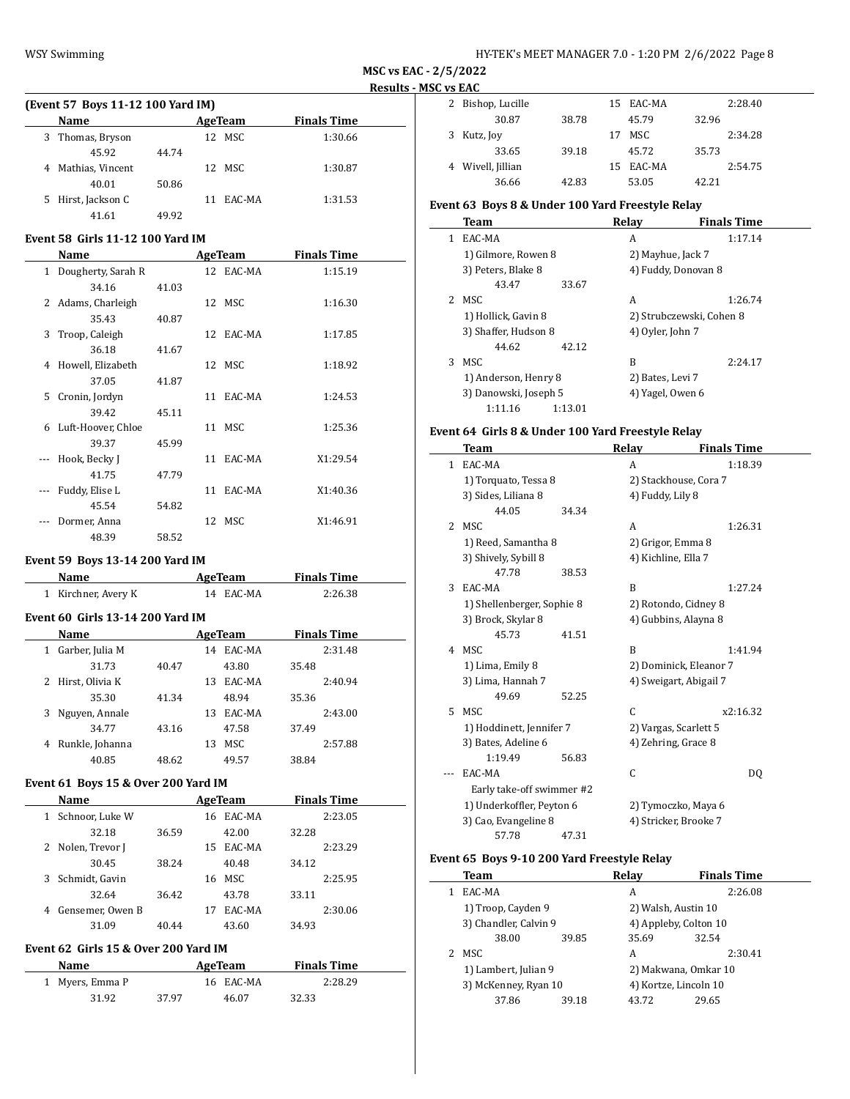| (Event 57 Boys 11-12 100 Yard IM) |                  |       |     |                |                    |  |  |  |  |
|-----------------------------------|------------------|-------|-----|----------------|--------------------|--|--|--|--|
| <b>Name</b>                       |                  |       |     | <b>AgeTeam</b> | <b>Finals Time</b> |  |  |  |  |
| 3                                 | Thomas, Bryson   |       | 12. | MSC            | 1:30.66            |  |  |  |  |
|                                   | 45.92            | 44.74 |     |                |                    |  |  |  |  |
| 4                                 | Mathias, Vincent |       |     | 12 MSC         | 1:30.87            |  |  |  |  |
|                                   | 40.01            | 50.86 |     |                |                    |  |  |  |  |
| 5.                                | Hirst, Jackson C |       | 11  | EAC-MA         | 1:31.53            |  |  |  |  |
|                                   | 41.61            | 49.92 |     |                |                    |  |  |  |  |

# **Event 58 Girls 11-12 100 Yard IM**

|    | Name                 |       | AgeTeam   | <b>Finals Time</b> |  |
|----|----------------------|-------|-----------|--------------------|--|
|    | 1 Dougherty, Sarah R |       | 12 EAC-MA | 1:15.19            |  |
|    | 34.16                | 41.03 |           |                    |  |
| 2  | Adams, Charleigh     |       | 12 MSC    | 1:16.30            |  |
|    | 35.43                | 40.87 |           |                    |  |
| 3  | Troop, Caleigh       |       | 12 EAC-MA | 1:17.85            |  |
|    | 36.18                | 41.67 |           |                    |  |
| 4  | Howell, Elizabeth    |       | 12 MSC    | 1:18.92            |  |
|    | 37.05                | 41.87 |           |                    |  |
| 5. | Cronin, Jordyn       |       | 11 EAC-MA | 1:24.53            |  |
|    | 39.42                | 45.11 |           |                    |  |
| 6  | Luft-Hoover, Chloe   |       | 11 MSC    | 1:25.36            |  |
|    | 39.37                | 45.99 |           |                    |  |
|    | Hook, Becky J        |       | 11 EAC-MA | X1:29.54           |  |
|    | 41.75                | 47.79 |           |                    |  |
|    | Fuddy, Elise L       |       | 11 EAC-MA | X1:40.36           |  |
|    | 45.54                | 54.82 |           |                    |  |
|    | Dormer, Anna         |       | 12 MSC    | X1:46.91           |  |
|    | 48.39                | 58.52 |           |                    |  |

### **Event 59 Boys 13-14 200 Yard IM**

| <b>Name</b>                             | AgeTeam   | <b>Finals Time</b> |  |  |
|-----------------------------------------|-----------|--------------------|--|--|
| 1 Kirchner, Avery K                     | 14 EAC-MA | 2:26.38            |  |  |
| <b>Event 60 Girls 13-14 200 Yard IM</b> |           |                    |  |  |

|   | Name              |       | AgeTeam |        |       | <b>Finals Time</b> |
|---|-------------------|-------|---------|--------|-------|--------------------|
| 1 | Garber, Julia M   |       | 14      | EAC-MA |       | 2:31.48            |
|   | 31.73             | 40.47 |         | 43.80  | 35.48 |                    |
|   | 2 Hirst, Olivia K |       | 13      | EAC-MA |       | 2:40.94            |
|   | 35.30             | 41.34 |         | 48.94  | 35.36 |                    |
|   | 3 Nguyen, Annale  |       | 13      | EAC-MA |       | 2:43.00            |
|   | 34.77             | 43.16 |         | 47.58  | 37.49 |                    |
| 4 | Runkle, Johanna   |       | 13      | MSC    |       | 2:57.88            |
|   | 40.85             | 48.62 |         | 49.57  | 38.84 |                    |
|   |                   |       |         |        |       |                    |

# **Event 61 Boys 15 & Over 200 Yard IM**

| <b>Name</b>           |       |    |        |       | <b>Finals Time</b> |
|-----------------------|-------|----|--------|-------|--------------------|
| Schnoor, Luke W<br>1  |       | 16 | EAC-MA |       | 2:23.05            |
| 32.18                 | 36.59 |    | 42.00  | 32.28 |                    |
| 2 Nolen, Trevor J     |       | 15 | EAC-MA |       | 2:23.29            |
| 30.45                 | 38.24 |    | 40.48  | 34.12 |                    |
| Schmidt, Gavin<br>3   |       | 16 | MSC    |       | 2:25.95            |
| 32.64                 | 36.42 |    | 43.78  | 33.11 |                    |
| Gensemer, Owen B<br>4 |       | 17 | EAC-MA |       | 2:30.06            |
| 31.09                 | 40.44 |    | 43.60  | 34.93 |                    |

# **Event 62 Girls 15 & Over 200 Yard IM**

| <b>Name</b>     |       | AgeTeam   | <b>Finals Time</b> |  |
|-----------------|-------|-----------|--------------------|--|
| 1 Myers, Emma P |       | 16 EAC-MA | 2:28.29            |  |
| 31.92           | 37.97 | 46.07     | 32.33              |  |

| JU VJ LAU |                   |       |    |           |       |         |  |
|-----------|-------------------|-------|----|-----------|-------|---------|--|
|           | 2 Bishop, Lucille |       |    | 15 EAC-MA |       | 2:28.40 |  |
|           | 30.87             | 38.78 |    | 45.79     | 32.96 |         |  |
|           | 3 Kutz, Joy       |       | 17 | MSC       |       | 2:34.28 |  |
|           | 33.65             | 39.18 |    | 45.72     | 35.73 |         |  |
|           | 4 Wivell, Jillian |       |    | 15 EAC-MA |       | 2:54.75 |  |
|           | 36.66             | 42.83 |    | 53.05     | 42.21 |         |  |

# **Event 63 Boys 8 & Under 100 Yard Freestyle Relay**

|             | <b>Team</b>           |         | Relav                    | <b>Finals Time</b> |  |
|-------------|-----------------------|---------|--------------------------|--------------------|--|
| 1           | EAC-MA                |         | A                        | 1:17.14            |  |
|             | 1) Gilmore, Rowen 8   |         | 2) Mayhue, Jack 7        |                    |  |
|             | 3) Peters, Blake 8    |         | 4) Fuddy, Donovan 8      |                    |  |
|             | 43.47                 | 33.67   |                          |                    |  |
| $2^{\circ}$ | MSC                   |         | A                        | 1:26.74            |  |
|             | 1) Hollick, Gavin 8   |         | 2) Strubczewski, Cohen 8 |                    |  |
|             | 3) Shaffer, Hudson 8  |         | 4) Oyler, John 7         |                    |  |
|             | 44.62                 | 42.12   |                          |                    |  |
| 3.          | MSC.                  |         | B                        | 2:24.17            |  |
|             | 1) Anderson, Henry 8  |         | 2) Bates, Levi 7         |                    |  |
|             | 3) Danowski, Joseph 5 |         | 4) Yagel, Owen 6         |                    |  |
|             | 1:11.16               | 1:13.01 |                          |                    |  |

# **Event 64 Girls 8 & Under 100 Yard Freestyle Relay**

|              | Team                       |       | Relay                  | <b>Finals Time</b> |  |
|--------------|----------------------------|-------|------------------------|--------------------|--|
| $\mathbf{1}$ | EAC-MA                     |       | A                      | 1:18.39            |  |
|              | 1) Torquato, Tessa 8       |       | 2) Stackhouse, Cora 7  |                    |  |
|              | 3) Sides, Liliana 8        |       | 4) Fuddy, Lily 8       |                    |  |
|              | 44.05                      | 34.34 |                        |                    |  |
| 2            | MSC                        |       | A                      | 1:26.31            |  |
|              | 1) Reed, Samantha 8        |       | 2) Grigor, Emma 8      |                    |  |
|              | 3) Shively, Sybill 8       |       | 4) Kichline, Ella 7    |                    |  |
|              | 47.78                      | 38.53 |                        |                    |  |
| 3            | EAC-MA                     |       | B                      | 1:27.24            |  |
|              | 1) Shellenberger, Sophie 8 |       | 2) Rotondo, Cidney 8   |                    |  |
|              | 3) Brock, Skylar 8         |       | 4) Gubbins, Alayna 8   |                    |  |
|              | 45.73                      | 41.51 |                        |                    |  |
|              | 4 MSC                      |       | B                      | 1:41.94            |  |
|              | 1) Lima, Emily 8           |       | 2) Dominick, Eleanor 7 |                    |  |
|              | 3) Lima, Hannah 7          |       | 4) Sweigart, Abigail 7 |                    |  |
|              | 49.69                      | 52.25 |                        |                    |  |
| 5.           | MSC.                       |       | C                      | x2:16.32           |  |
|              | 1) Hoddinett, Jennifer 7   |       | 2) Vargas, Scarlett 5  |                    |  |
|              | 3) Bates, Adeline 6        |       | 4) Zehring, Grace 8    |                    |  |
|              | 1:19.49                    | 56.83 |                        |                    |  |
|              | EAC-MA                     |       | C                      | DO.                |  |
|              | Early take-off swimmer #2  |       |                        |                    |  |
|              | 1) Underkoffler, Peyton 6  |       | 2) Tymoczko, Maya 6    |                    |  |
|              | 3) Cao, Evangeline 8       |       | 4) Stricker, Brooke 7  |                    |  |
|              | 57.78                      | 47.31 |                        |                    |  |

# **Event 65 Boys 9-10 200 Yard Freestyle Relay**

 $\overline{\phantom{0}}$ 

| Team                  |       | Relav                 | <b>Finals Time</b> |  |
|-----------------------|-------|-----------------------|--------------------|--|
| EAC-MA                |       | А                     | 2:26.08            |  |
| 1) Troop, Cayden 9    |       | 2) Walsh, Austin 10   |                    |  |
| 3) Chandler, Calvin 9 |       | 4) Appleby, Colton 10 |                    |  |
| 38.00                 | 39.85 | 35.69                 | 32.54              |  |
| MSC                   |       | А                     | 2:30.41            |  |
| 1) Lambert, Julian 9  |       | 2) Makwana, Omkar 10  |                    |  |
| 3) McKenney, Ryan 10  |       | 4) Kortze, Lincoln 10 |                    |  |
| 37.86                 | 39.18 | 43.72                 | 29.65              |  |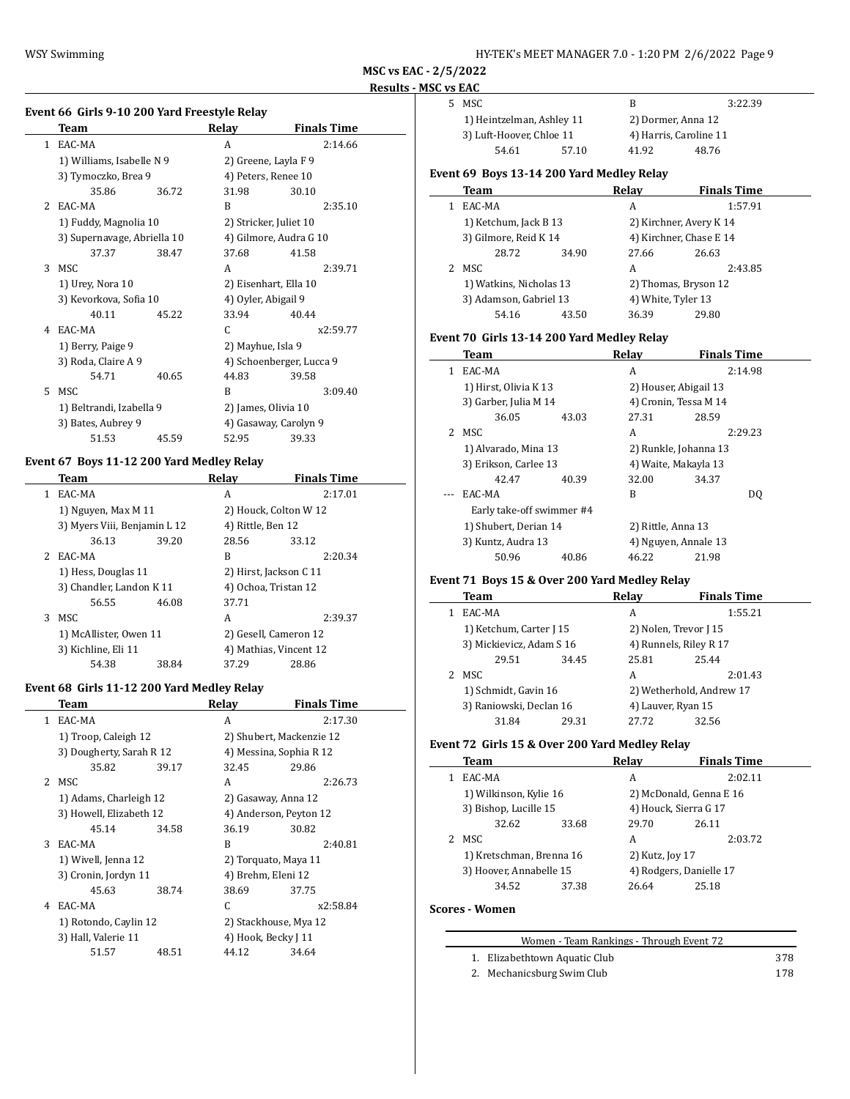$\overline{a}$ 

5 MSC B 3:22.39

**MSC vs EAC - 2/5/2022 Results - MSC vs EAC**

 $\overline{\phantom{a}}$ 

# **Event 66 Girls 9-10 200 Yard Freestyle Relay**

|              | Team                        |       | Relay                    | <b>Finals Time</b>    |  |  |
|--------------|-----------------------------|-------|--------------------------|-----------------------|--|--|
| $\mathbf{1}$ | EAC-MA                      |       | A                        | 2:14.66               |  |  |
|              | 1) Williams, Isabelle N 9   |       | 2) Greene, Layla F 9     |                       |  |  |
|              | 3) Tymoczko, Brea 9         |       | 4) Peters, Renee 10      |                       |  |  |
|              | 35.86                       | 36.72 | 31.98                    | 30.10                 |  |  |
| 2            | EAC-MA                      |       | B                        | 2:35.10               |  |  |
|              | 1) Fuddy, Magnolia 10       |       | 2) Stricker, Juliet 10   |                       |  |  |
|              | 3) Supernavage, Abriella 10 |       | 4) Gilmore, Audra G 10   |                       |  |  |
|              | 37.37                       | 38.47 | 37.68                    | 41.58                 |  |  |
| 3            | MSC                         |       | A                        | 2:39.71               |  |  |
|              | 1) Urey, Nora 10            |       |                          | 2) Eisenhart, Ella 10 |  |  |
|              | 3) Kevorkova, Sofia 10      |       | 4) Oyler, Abigail 9      |                       |  |  |
|              | 40.11                       | 45.22 | 33.94                    | 40.44                 |  |  |
| 4            | EAC-MA                      |       | C                        | x2:59.77              |  |  |
|              | 1) Berry, Paige 9           |       | 2) Mayhue, Isla 9        |                       |  |  |
|              | 3) Roda, Claire A 9         |       | 4) Schoenberger, Lucca 9 |                       |  |  |
|              | 54.71                       | 40.65 | 44.83                    | 39.58                 |  |  |
| 5.           | <b>MSC</b>                  |       | B                        | 3:09.40               |  |  |
|              | 1) Beltrandi, Izabella 9    |       | 2) James, Olivia 10      |                       |  |  |
|              | 3) Bates, Aubrey 9          |       | 4) Gasaway, Carolyn 9    |                       |  |  |
|              | 51.53                       | 45.59 | 52.95                    | 39.33                 |  |  |

## **Event 67 Boys 11-12 200 Yard Medley Relay**

|    | <b>Team</b>                  |       | Relav                | <b>Finals Time</b>     |  |
|----|------------------------------|-------|----------------------|------------------------|--|
| 1. | EAC-MA                       |       | A                    | 2:17.01                |  |
|    | 1) Nguyen, Max M 11          |       |                      | 2) Houck, Colton W 12  |  |
|    | 3) Myers Viii, Benjamin L 12 |       | 4) Rittle, Ben 12    |                        |  |
|    | 36.13                        | 39.20 | 28.56                | 33.12                  |  |
|    | 2 EAC-MA                     |       | B                    | 2:20.34                |  |
|    | 1) Hess, Douglas 11          |       |                      | 2) Hirst, Jackson C 11 |  |
|    | 3) Chandler, Landon K 11     |       | 4) Ochoa, Tristan 12 |                        |  |
|    | 56.55                        | 46.08 | 37.71                |                        |  |
| 3  | MSC.                         |       | A                    | 2:39.37                |  |
|    | 1) McAllister, Owen 11       |       |                      | 2) Gesell, Cameron 12  |  |
|    | 3) Kichline, Eli 11          |       |                      | 4) Mathias, Vincent 12 |  |
|    | 54.38                        | 38.84 | 37.29                | 28.86                  |  |

### **Event 68 Girls 11-12 200 Yard Medley Relay**

|             | Team                     |       | Relav                    | <b>Finals Time</b> |
|-------------|--------------------------|-------|--------------------------|--------------------|
| 1.          | EAC-MA                   |       | A                        | 2:17.30            |
|             | 1) Troop, Caleigh 12     |       | 2) Shubert, Mackenzie 12 |                    |
|             | 3) Dougherty, Sarah R 12 |       | 4) Messina, Sophia R 12  |                    |
|             | 35.82                    | 39.17 | 32.45                    | 29.86              |
| $2^{\circ}$ | MSC.                     |       | A                        | 2:26.73            |
|             | 1) Adams, Charleigh 12   |       | 2) Gasaway, Anna 12      |                    |
|             | 3) Howell, Elizabeth 12  |       | 4) Anderson, Peyton 12   |                    |
|             | 45.14                    | 34.58 | 36.19                    | 30.82              |
| 3           | EAC-MA                   |       | B                        | 2:40.81            |
|             | 1) Wivell, Jenna 12      |       | 2) Torquato, Maya 11     |                    |
|             | 3) Cronin, Jordyn 11     |       | 4) Brehm, Eleni 12       |                    |
|             | 45.63                    | 38.74 | 38.69                    | 37.75              |
| 4           | EAC-MA                   |       | C                        | x2:58.84           |
|             | 1) Rotondo, Caylin 12    |       | 2) Stackhouse, Mya 12    |                    |
|             | 3) Hall, Valerie 11      |       | 4) Hook, Becky J 11      |                    |
|             | 51.57                    | 48.51 | 44.12                    | 34.64              |
|             |                          |       |                          |                    |

| 1) Heintzelman, Ashley 11 |       | 2) Dormer, Anna 12     |       |  |
|---------------------------|-------|------------------------|-------|--|
| 3) Luft-Hoover, Chloe 11  |       | 4) Harris, Caroline 11 |       |  |
| 54.61                     | 57.10 | 41.92                  | 48.76 |  |
|                           |       |                        |       |  |

# **Event 69 Boys 13-14 200 Yard Medley Relay**

|   | Team                                              |       | Relay                   | <b>Finals Time</b> |
|---|---------------------------------------------------|-------|-------------------------|--------------------|
|   | EAC-MA                                            |       | А                       | 1:57.91            |
|   | 1) Ketchum, Jack B 13                             |       | 2) Kirchner, Avery K 14 |                    |
|   | 3) Gilmore, Reid K 14                             |       | 4) Kirchner, Chase E 14 |                    |
|   | 28.72                                             | 34.90 | 27.66                   | 26.63              |
| 2 | MSC                                               |       | А                       | 2:43.85            |
|   | 1) Watkins, Nicholas 13<br>3) Adamson, Gabriel 13 |       | 2) Thomas, Bryson 12    |                    |
|   |                                                   |       | 4) White, Tyler 13      |                    |
|   | 54.16                                             | 43.50 | 36.39                   | 29.80              |

# **Event 70 Girls 13-14 200 Yard Medley Relay**

|    | Team                      |       | Relav                 | <b>Finals Time</b> |  |
|----|---------------------------|-------|-----------------------|--------------------|--|
| 1  | EAC-MA                    |       | A                     | 2:14.98            |  |
|    | 1) Hirst, Olivia K 13     |       | 2) Houser, Abigail 13 |                    |  |
|    | 3) Garber, Julia M 14     |       | 4) Cronin, Tessa M 14 |                    |  |
|    | 36.05                     | 43.03 | 27.31                 | 28.59              |  |
| 2. | MSC.                      |       | A                     | 2:29.23            |  |
|    | 1) Alvarado, Mina 13      |       | 2) Runkle, Johanna 13 |                    |  |
|    | 3) Erikson, Carlee 13     |       | 4) Waite, Makayla 13  |                    |  |
|    | 42.47                     | 40.39 | 32.00                 | 34.37              |  |
|    | EAC-MA                    |       | R                     | DO.                |  |
|    | Early take-off swimmer #4 |       |                       |                    |  |
|    | 1) Shubert, Derian 14     |       | 2) Rittle, Anna 13    |                    |  |
|    | 3) Kuntz, Audra 13        |       | 4) Nguyen, Annale 13  |                    |  |
|    | 50.96                     | 40.86 | 46.22                 | 21.98              |  |

# **Event 71 Boys 15 & Over 200 Yard Medley Relay**

|  | Team                                            |       | Relay                | <b>Finals Time</b>       |
|--|-------------------------------------------------|-------|----------------------|--------------------------|
|  | EAC-MA                                          |       | A                    | 1:55.21                  |
|  | 1) Ketchum, Carter J 15                         |       | 2) Nolen, Trevor [15 |                          |
|  | 3) Mickievicz, Adam S 16                        |       |                      | 4) Runnels, Riley R 17   |
|  | 29.51                                           | 34.45 | 25.81                | 25.44                    |
|  | 2 MSC                                           |       | A                    | 2:01.43                  |
|  | 1) Schmidt, Gavin 16<br>3) Raniowski, Declan 16 |       |                      | 2) Wetherhold, Andrew 17 |
|  |                                                 |       | 4) Lauver, Ryan 15   |                          |
|  | 31.84                                           | 29.31 | 27.72                | 32.56                    |

# **Event 72 Girls 15 & Over 200 Yard Medley Relay**

| Team                     |       | Relav                   | <b>Finals Time</b> |  |
|--------------------------|-------|-------------------------|--------------------|--|
| EAC-MA                   |       | A                       | 2:02.11            |  |
| 1) Wilkinson, Kylie 16   |       | 2) McDonald, Genna E 16 |                    |  |
| 3) Bishop, Lucille 15    |       | 4) Houck, Sierra G 17   |                    |  |
| 32.62                    | 33.68 | 29.70                   | 26.11              |  |
| MSC                      |       | A                       | 2:03.72            |  |
| 1) Kretschman, Brenna 16 |       | 2) Kutz, Joy 17         |                    |  |
| 3) Hoover, Annabelle 15  |       | 4) Rodgers, Danielle 17 |                    |  |
| 34.52                    | 37.38 | 26.64                   | 25.18              |  |

# **Scores - Women**

| Women - Team Rankings - Through Event 72 |     |
|------------------------------------------|-----|
| 1. Elizabethtown Aquatic Club            | 378 |
| 2. Mechanicsburg Swim Club               | 178 |